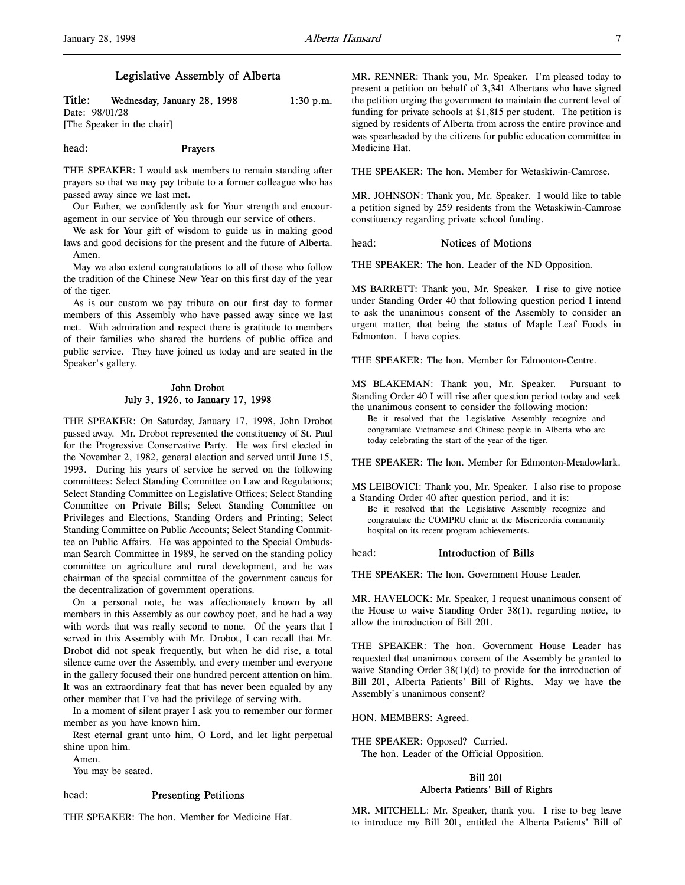# Legislative Assembly of Alberta

# Title: Wednesday, January 28, 1998  $1:30 \text{ p.m.}$ Date: 98/01/28

[The Speaker in the chair]

# head: Prayers

THE SPEAKER: I would ask members to remain standing after prayers so that we may pay tribute to a former colleague who has passed away since we last met.

Our Father, we confidently ask for Your strength and encouragement in our service of You through our service of others.

We ask for Your gift of wisdom to guide us in making good laws and good decisions for the present and the future of Alberta. Amen.

May we also extend congratulations to all of those who follow the tradition of the Chinese New Year on this first day of the year of the tiger.

As is our custom we pay tribute on our first day to former members of this Assembly who have passed away since we last met. With admiration and respect there is gratitude to members of their families who shared the burdens of public office and public service. They have joined us today and are seated in the Speaker's gallery.

# John Drobot July 3, 1926, to January 17, 1998

THE SPEAKER: On Saturday, January 17, 1998, John Drobot passed away. Mr. Drobot represented the constituency of St. Paul for the Progressive Conservative Party. He was first elected in the November 2, 1982, general election and served until June 15, 1993. During his years of service he served on the following committees: Select Standing Committee on Law and Regulations; Select Standing Committee on Legislative Offices; Select Standing Committee on Private Bills; Select Standing Committee on Privileges and Elections, Standing Orders and Printing; Select Standing Committee on Public Accounts; Select Standing Committee on Public Affairs. He was appointed to the Special Ombudsman Search Committee in 1989, he served on the standing policy committee on agriculture and rural development, and he was chairman of the special committee of the government caucus for the decentralization of government operations.

On a personal note, he was affectionately known by all members in this Assembly as our cowboy poet, and he had a way with words that was really second to none. Of the years that I served in this Assembly with Mr. Drobot, I can recall that Mr. Drobot did not speak frequently, but when he did rise, a total silence came over the Assembly, and every member and everyone in the gallery focused their one hundred percent attention on him. It was an extraordinary feat that has never been equaled by any other member that I've had the privilege of serving with.

In a moment of silent prayer I ask you to remember our former member as you have known him.

Rest eternal grant unto him, O Lord, and let light perpetual shine upon him.

Amen.

You may be seated.

#### head: Presenting Petitions

THE SPEAKER: The hon. Member for Medicine Hat.

MR. RENNER: Thank you, Mr. Speaker. I'm pleased today to present a petition on behalf of 3,341 Albertans who have signed the petition urging the government to maintain the current level of funding for private schools at \$1,815 per student. The petition is signed by residents of Alberta from across the entire province and was spearheaded by the citizens for public education committee in Medicine Hat.

THE SPEAKER: The hon. Member for Wetaskiwin-Camrose.

MR. JOHNSON: Thank you, Mr. Speaker. I would like to table a petition signed by 259 residents from the Wetaskiwin-Camrose constituency regarding private school funding.

#### head: **Notices of Motions**

THE SPEAKER: The hon. Leader of the ND Opposition.

MS BARRETT: Thank you, Mr. Speaker. I rise to give notice under Standing Order 40 that following question period I intend to ask the unanimous consent of the Assembly to consider an urgent matter, that being the status of Maple Leaf Foods in Edmonton. I have copies.

THE SPEAKER: The hon. Member for Edmonton-Centre.

MS BLAKEMAN: Thank you, Mr. Speaker. Pursuant to Standing Order 40 I will rise after question period today and seek the unanimous consent to consider the following motion:

Be it resolved that the Legislative Assembly recognize and congratulate Vietnamese and Chinese people in Alberta who are today celebrating the start of the year of the tiger.

THE SPEAKER: The hon. Member for Edmonton-Meadowlark.

MS LEIBOVICI: Thank you, Mr. Speaker. I also rise to propose a Standing Order 40 after question period, and it is:

Be it resolved that the Legislative Assembly recognize and congratulate the COMPRU clinic at the Misericordia community hospital on its recent program achievements.

#### head: Introduction of Bills

THE SPEAKER: The hon. Government House Leader.

MR. HAVELOCK: Mr. Speaker, I request unanimous consent of the House to waive Standing Order 38(1), regarding notice, to allow the introduction of Bill 201.

THE SPEAKER: The hon. Government House Leader has requested that unanimous consent of the Assembly be granted to waive Standing Order 38(1)(d) to provide for the introduction of Bill 201, Alberta Patients' Bill of Rights. May we have the Assembly's unanimous consent?

HON. MEMBERS: Agreed.

THE SPEAKER: Opposed? Carried. The hon. Leader of the Official Opposition.

# Bill 201 Alberta Patients' Bill of Rights

MR. MITCHELL: Mr. Speaker, thank you. I rise to beg leave to introduce my Bill 201, entitled the Alberta Patients' Bill of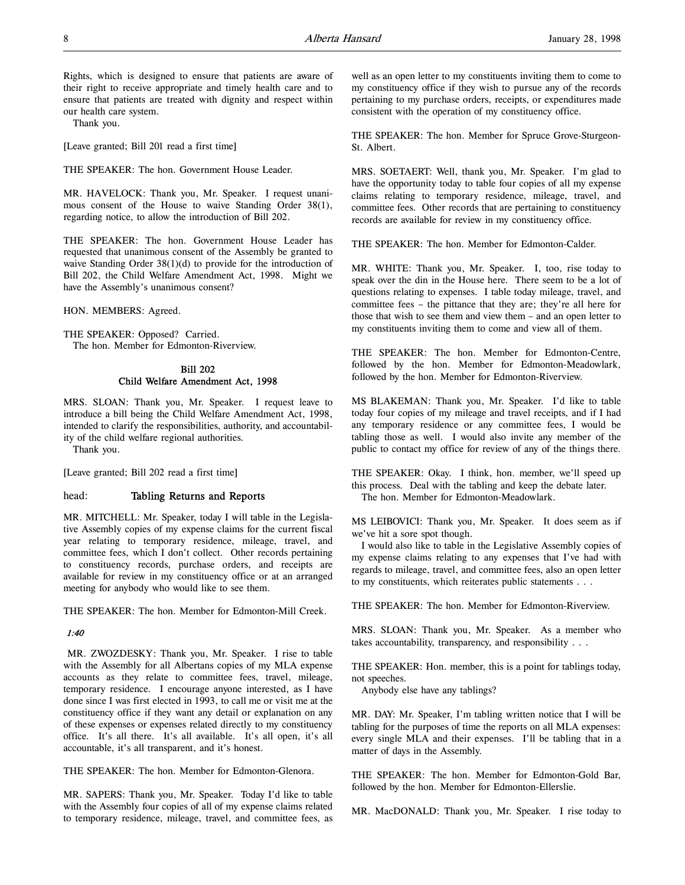Rights, which is designed to ensure that patients are aware of their right to receive appropriate and timely health care and to ensure that patients are treated with dignity and respect within our health care system.

Thank you.

[Leave granted; Bill 201 read a first time]

THE SPEAKER: The hon. Government House Leader.

MR. HAVELOCK: Thank you, Mr. Speaker. I request unanimous consent of the House to waive Standing Order 38(1), regarding notice, to allow the introduction of Bill 202.

THE SPEAKER: The hon. Government House Leader has requested that unanimous consent of the Assembly be granted to waive Standing Order 38(1)(d) to provide for the introduction of Bill 202, the Child Welfare Amendment Act, 1998. Might we have the Assembly's unanimous consent?

HON. MEMBERS: Agreed.

THE SPEAKER: Opposed? Carried. The hon. Member for Edmonton-Riverview.

# Bill 202 Child Welfare Amendment Act, 1998

MRS. SLOAN: Thank you, Mr. Speaker. I request leave to introduce a bill being the Child Welfare Amendment Act, 1998, intended to clarify the responsibilities, authority, and accountability of the child welfare regional authorities.

Thank you.

[Leave granted; Bill 202 read a first time]

# head: Tabling Returns and Reports

MR. MITCHELL: Mr. Speaker, today I will table in the Legislative Assembly copies of my expense claims for the current fiscal year relating to temporary residence, mileage, travel, and committee fees, which I don't collect. Other records pertaining to constituency records, purchase orders, and receipts are available for review in my constituency office or at an arranged meeting for anybody who would like to see them.

THE SPEAKER: The hon. Member for Edmonton-Mill Creek.

#### 1:40

 MR. ZWOZDESKY: Thank you, Mr. Speaker. I rise to table with the Assembly for all Albertans copies of my MLA expense accounts as they relate to committee fees, travel, mileage, temporary residence. I encourage anyone interested, as I have done since I was first elected in 1993, to call me or visit me at the constituency office if they want any detail or explanation on any of these expenses or expenses related directly to my constituency office. It's all there. It's all available. It's all open, it's all accountable, it's all transparent, and it's honest.

THE SPEAKER: The hon. Member for Edmonton-Glenora.

MR. SAPERS: Thank you, Mr. Speaker. Today I'd like to table with the Assembly four copies of all of my expense claims related to temporary residence, mileage, travel, and committee fees, as

well as an open letter to my constituents inviting them to come to my constituency office if they wish to pursue any of the records pertaining to my purchase orders, receipts, or expenditures made consistent with the operation of my constituency office.

THE SPEAKER: The hon. Member for Spruce Grove-Sturgeon-St. Albert.

MRS. SOETAERT: Well, thank you, Mr. Speaker. I'm glad to have the opportunity today to table four copies of all my expense claims relating to temporary residence, mileage, travel, and committee fees. Other records that are pertaining to constituency records are available for review in my constituency office.

THE SPEAKER: The hon. Member for Edmonton-Calder.

MR. WHITE: Thank you, Mr. Speaker. I, too, rise today to speak over the din in the House here. There seem to be a lot of questions relating to expenses. I table today mileage, travel, and committee fees – the pittance that they are; they're all here for those that wish to see them and view them – and an open letter to my constituents inviting them to come and view all of them.

THE SPEAKER: The hon. Member for Edmonton-Centre, followed by the hon. Member for Edmonton-Meadowlark, followed by the hon. Member for Edmonton-Riverview.

MS BLAKEMAN: Thank you, Mr. Speaker. I'd like to table today four copies of my mileage and travel receipts, and if I had any temporary residence or any committee fees, I would be tabling those as well. I would also invite any member of the public to contact my office for review of any of the things there.

THE SPEAKER: Okay. I think, hon. member, we'll speed up this process. Deal with the tabling and keep the debate later. The hon. Member for Edmonton-Meadowlark.

MS LEIBOVICI: Thank you, Mr. Speaker. It does seem as if we've hit a sore spot though.

I would also like to table in the Legislative Assembly copies of my expense claims relating to any expenses that I've had with regards to mileage, travel, and committee fees, also an open letter to my constituents, which reiterates public statements . . .

THE SPEAKER: The hon. Member for Edmonton-Riverview.

MRS. SLOAN: Thank you, Mr. Speaker. As a member who takes accountability, transparency, and responsibility . . .

THE SPEAKER: Hon. member, this is a point for tablings today, not speeches.

Anybody else have any tablings?

MR. DAY: Mr. Speaker, I'm tabling written notice that I will be tabling for the purposes of time the reports on all MLA expenses: every single MLA and their expenses. I'll be tabling that in a matter of days in the Assembly.

THE SPEAKER: The hon. Member for Edmonton-Gold Bar, followed by the hon. Member for Edmonton-Ellerslie.

MR. MacDONALD: Thank you, Mr. Speaker. I rise today to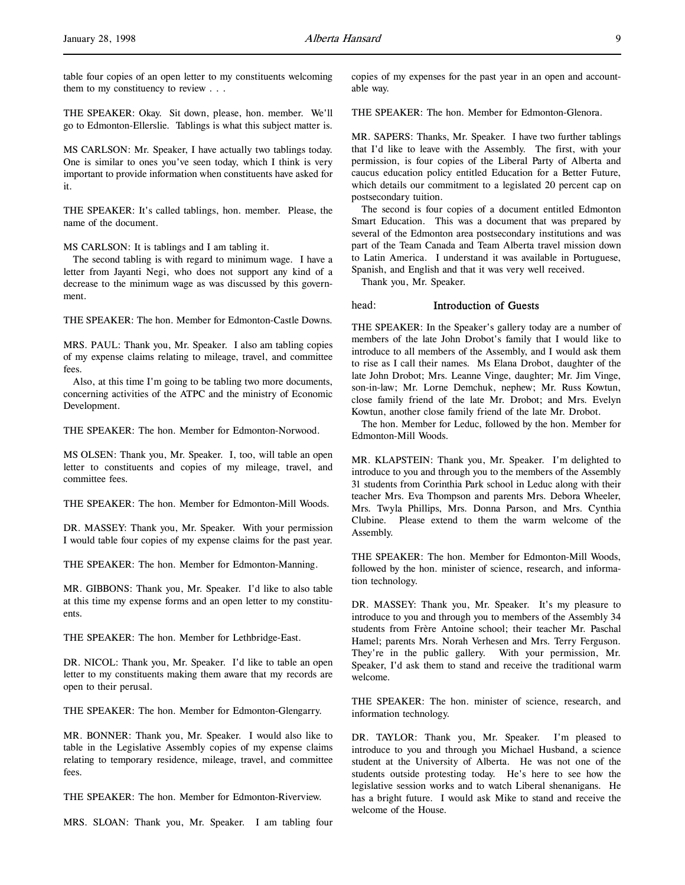table four copies of an open letter to my constituents welcoming them to my constituency to review . . .

THE SPEAKER: Okay. Sit down, please, hon. member. We'll go to Edmonton-Ellerslie. Tablings is what this subject matter is.

MS CARLSON: Mr. Speaker, I have actually two tablings today. One is similar to ones you've seen today, which I think is very important to provide information when constituents have asked for it.

THE SPEAKER: It's called tablings, hon. member. Please, the name of the document.

MS CARLSON: It is tablings and I am tabling it.

The second tabling is with regard to minimum wage. I have a letter from Jayanti Negi, who does not support any kind of a decrease to the minimum wage as was discussed by this government.

THE SPEAKER: The hon. Member for Edmonton-Castle Downs.

MRS. PAUL: Thank you, Mr. Speaker. I also am tabling copies of my expense claims relating to mileage, travel, and committee fees.

Also, at this time I'm going to be tabling two more documents, concerning activities of the ATPC and the ministry of Economic Development.

THE SPEAKER: The hon. Member for Edmonton-Norwood.

MS OLSEN: Thank you, Mr. Speaker. I, too, will table an open letter to constituents and copies of my mileage, travel, and committee fees.

THE SPEAKER: The hon. Member for Edmonton-Mill Woods.

DR. MASSEY: Thank you, Mr. Speaker. With your permission I would table four copies of my expense claims for the past year.

THE SPEAKER: The hon. Member for Edmonton-Manning.

MR. GIBBONS: Thank you, Mr. Speaker. I'd like to also table at this time my expense forms and an open letter to my constituents.

THE SPEAKER: The hon. Member for Lethbridge-East.

DR. NICOL: Thank you, Mr. Speaker. I'd like to table an open letter to my constituents making them aware that my records are open to their perusal.

THE SPEAKER: The hon. Member for Edmonton-Glengarry.

MR. BONNER: Thank you, Mr. Speaker. I would also like to table in the Legislative Assembly copies of my expense claims relating to temporary residence, mileage, travel, and committee fees.

THE SPEAKER: The hon. Member for Edmonton-Riverview.

MRS. SLOAN: Thank you, Mr. Speaker. I am tabling four

copies of my expenses for the past year in an open and accountable way.

THE SPEAKER: The hon. Member for Edmonton-Glenora.

MR. SAPERS: Thanks, Mr. Speaker. I have two further tablings that I'd like to leave with the Assembly. The first, with your permission, is four copies of the Liberal Party of Alberta and caucus education policy entitled Education for a Better Future, which details our commitment to a legislated 20 percent cap on postsecondary tuition.

The second is four copies of a document entitled Edmonton Smart Education. This was a document that was prepared by several of the Edmonton area postsecondary institutions and was part of the Team Canada and Team Alberta travel mission down to Latin America. I understand it was available in Portuguese, Spanish, and English and that it was very well received.

Thank you, Mr. Speaker.

#### head: Introduction of Guests

THE SPEAKER: In the Speaker's gallery today are a number of members of the late John Drobot's family that I would like to introduce to all members of the Assembly, and I would ask them to rise as I call their names. Ms Elana Drobot, daughter of the late John Drobot; Mrs. Leanne Vinge, daughter; Mr. Jim Vinge, son-in-law; Mr. Lorne Demchuk, nephew; Mr. Russ Kowtun, close family friend of the late Mr. Drobot; and Mrs. Evelyn Kowtun, another close family friend of the late Mr. Drobot.

The hon. Member for Leduc, followed by the hon. Member for Edmonton-Mill Woods.

MR. KLAPSTEIN: Thank you, Mr. Speaker. I'm delighted to introduce to you and through you to the members of the Assembly 31 students from Corinthia Park school in Leduc along with their teacher Mrs. Eva Thompson and parents Mrs. Debora Wheeler, Mrs. Twyla Phillips, Mrs. Donna Parson, and Mrs. Cynthia Clubine. Please extend to them the warm welcome of the Assembly.

THE SPEAKER: The hon. Member for Edmonton-Mill Woods, followed by the hon. minister of science, research, and information technology.

DR. MASSEY: Thank you, Mr. Speaker. It's my pleasure to introduce to you and through you to members of the Assembly 34 students from Frère Antoine school; their teacher Mr. Paschal Hamel; parents Mrs. Norah Verhesen and Mrs. Terry Ferguson. They're in the public gallery. With your permission, Mr. Speaker, I'd ask them to stand and receive the traditional warm welcome.

THE SPEAKER: The hon. minister of science, research, and information technology.

DR. TAYLOR: Thank you, Mr. Speaker. I'm pleased to introduce to you and through you Michael Husband, a science student at the University of Alberta. He was not one of the students outside protesting today. He's here to see how the legislative session works and to watch Liberal shenanigans. He has a bright future. I would ask Mike to stand and receive the welcome of the House.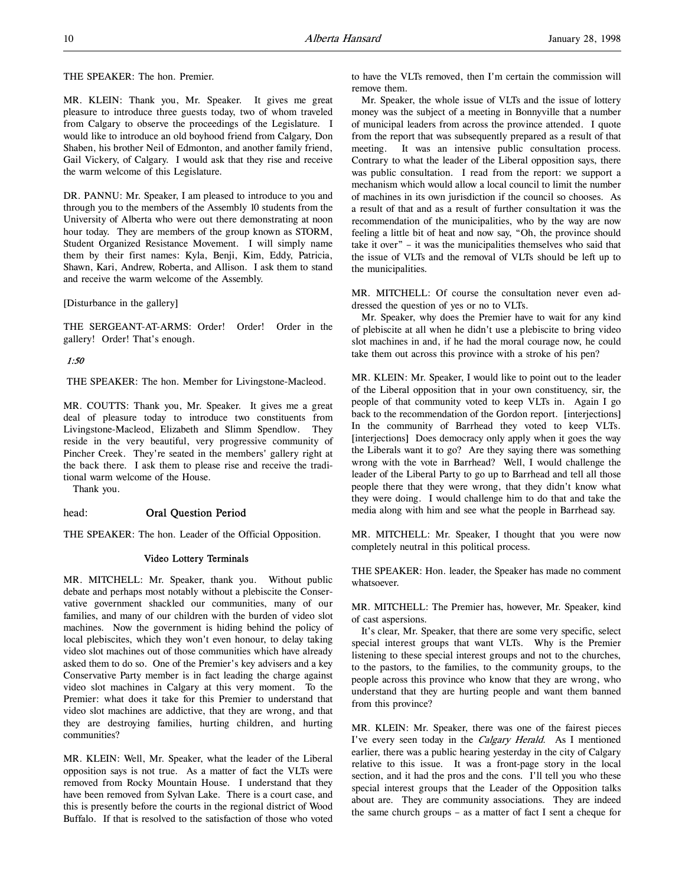THE SPEAKER: The hon. Premier.

MR. KLEIN: Thank you, Mr. Speaker. It gives me great pleasure to introduce three guests today, two of whom traveled from Calgary to observe the proceedings of the Legislature. I would like to introduce an old boyhood friend from Calgary, Don Shaben, his brother Neil of Edmonton, and another family friend, Gail Vickery, of Calgary. I would ask that they rise and receive the warm welcome of this Legislature.

DR. PANNU: Mr. Speaker, I am pleased to introduce to you and through you to the members of the Assembly 10 students from the University of Alberta who were out there demonstrating at noon hour today. They are members of the group known as STORM, Student Organized Resistance Movement. I will simply name them by their first names: Kyla, Benji, Kim, Eddy, Patricia, Shawn, Kari, Andrew, Roberta, and Allison. I ask them to stand and receive the warm welcome of the Assembly.

[Disturbance in the gallery]

THE SERGEANT-AT-ARMS: Order! Order! Order in the gallery! Order! That's enough.

# 1:50

THE SPEAKER: The hon. Member for Livingstone-Macleod.

MR. COUTTS: Thank you, Mr. Speaker. It gives me a great deal of pleasure today to introduce two constituents from Livingstone-Macleod, Elizabeth and Slimm Spendlow. They reside in the very beautiful, very progressive community of Pincher Creek. They're seated in the members' gallery right at the back there. I ask them to please rise and receive the traditional warm welcome of the House.

Thank you.

# head: Oral Question Period

THE SPEAKER: The hon. Leader of the Official Opposition.

# Video Lottery Terminals

MR. MITCHELL: Mr. Speaker, thank you. Without public debate and perhaps most notably without a plebiscite the Conservative government shackled our communities, many of our families, and many of our children with the burden of video slot machines. Now the government is hiding behind the policy of local plebiscites, which they won't even honour, to delay taking video slot machines out of those communities which have already asked them to do so. One of the Premier's key advisers and a key Conservative Party member is in fact leading the charge against video slot machines in Calgary at this very moment. To the Premier: what does it take for this Premier to understand that video slot machines are addictive, that they are wrong, and that they are destroying families, hurting children, and hurting communities?

MR. KLEIN: Well, Mr. Speaker, what the leader of the Liberal opposition says is not true. As a matter of fact the VLTs were removed from Rocky Mountain House. I understand that they have been removed from Sylvan Lake. There is a court case, and this is presently before the courts in the regional district of Wood Buffalo. If that is resolved to the satisfaction of those who voted

to have the VLTs removed, then I'm certain the commission will remove them.

Mr. Speaker, the whole issue of VLTs and the issue of lottery money was the subject of a meeting in Bonnyville that a number of municipal leaders from across the province attended. I quote from the report that was subsequently prepared as a result of that meeting. It was an intensive public consultation process. Contrary to what the leader of the Liberal opposition says, there was public consultation. I read from the report: we support a mechanism which would allow a local council to limit the number of machines in its own jurisdiction if the council so chooses. As a result of that and as a result of further consultation it was the recommendation of the municipalities, who by the way are now feeling a little bit of heat and now say, "Oh, the province should take it over" – it was the municipalities themselves who said that the issue of VLTs and the removal of VLTs should be left up to the municipalities.

MR. MITCHELL: Of course the consultation never even addressed the question of yes or no to VLTs.

Mr. Speaker, why does the Premier have to wait for any kind of plebiscite at all when he didn't use a plebiscite to bring video slot machines in and, if he had the moral courage now, he could take them out across this province with a stroke of his pen?

MR. KLEIN: Mr. Speaker, I would like to point out to the leader of the Liberal opposition that in your own constituency, sir, the people of that community voted to keep VLTs in. Again I go back to the recommendation of the Gordon report. [interjections] In the community of Barrhead they voted to keep VLTs. [interjections] Does democracy only apply when it goes the way the Liberals want it to go? Are they saying there was something wrong with the vote in Barrhead? Well, I would challenge the leader of the Liberal Party to go up to Barrhead and tell all those people there that they were wrong, that they didn't know what they were doing. I would challenge him to do that and take the media along with him and see what the people in Barrhead say.

MR. MITCHELL: Mr. Speaker, I thought that you were now completely neutral in this political process.

THE SPEAKER: Hon. leader, the Speaker has made no comment whatsoever.

MR. MITCHELL: The Premier has, however, Mr. Speaker, kind of cast aspersions.

It's clear, Mr. Speaker, that there are some very specific, select special interest groups that want VLTs. Why is the Premier listening to these special interest groups and not to the churches, to the pastors, to the families, to the community groups, to the people across this province who know that they are wrong, who understand that they are hurting people and want them banned from this province?

MR. KLEIN: Mr. Speaker, there was one of the fairest pieces I've every seen today in the Calgary Herald. As I mentioned earlier, there was a public hearing yesterday in the city of Calgary relative to this issue. It was a front-page story in the local section, and it had the pros and the cons. I'll tell you who these special interest groups that the Leader of the Opposition talks about are. They are community associations. They are indeed the same church groups – as a matter of fact I sent a cheque for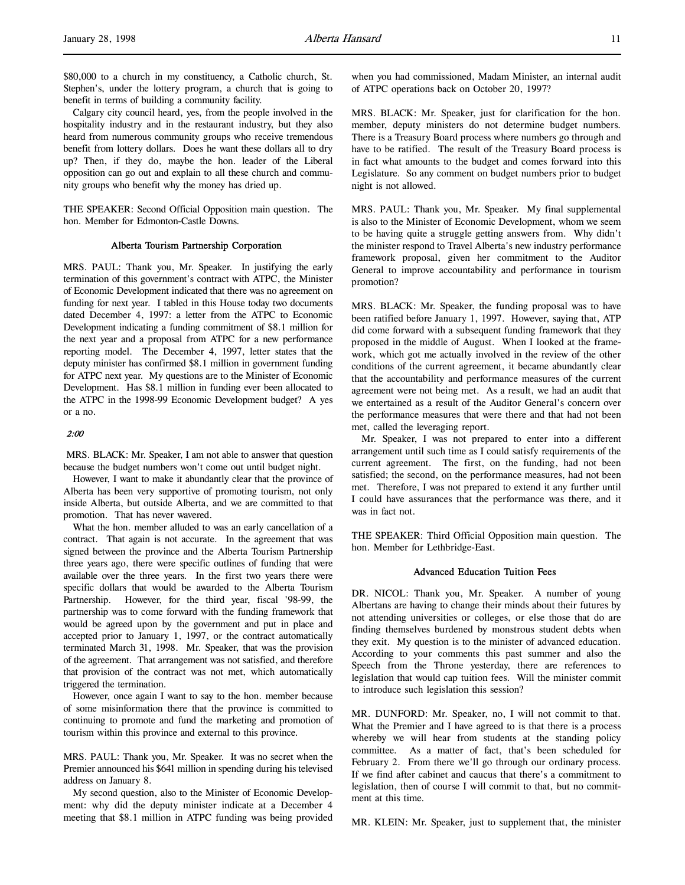\$80,000 to a church in my constituency, a Catholic church, St. Stephen's, under the lottery program, a church that is going to benefit in terms of building a community facility.

Calgary city council heard, yes, from the people involved in the hospitality industry and in the restaurant industry, but they also heard from numerous community groups who receive tremendous benefit from lottery dollars. Does he want these dollars all to dry up? Then, if they do, maybe the hon. leader of the Liberal opposition can go out and explain to all these church and community groups who benefit why the money has dried up.

THE SPEAKER: Second Official Opposition main question. The hon. Member for Edmonton-Castle Downs.

# Alberta Tourism Partnership Corporation

MRS. PAUL: Thank you, Mr. Speaker. In justifying the early termination of this government's contract with ATPC, the Minister of Economic Development indicated that there was no agreement on funding for next year. I tabled in this House today two documents dated December 4, 1997: a letter from the ATPC to Economic Development indicating a funding commitment of \$8.1 million for the next year and a proposal from ATPC for a new performance reporting model. The December 4, 1997, letter states that the deputy minister has confirmed \$8.1 million in government funding for ATPC next year. My questions are to the Minister of Economic Development. Has \$8.1 million in funding ever been allocated to the ATPC in the 1998-99 Economic Development budget? A yes or a no.

## 2:00

 MRS. BLACK: Mr. Speaker, I am not able to answer that question because the budget numbers won't come out until budget night.

However, I want to make it abundantly clear that the province of Alberta has been very supportive of promoting tourism, not only inside Alberta, but outside Alberta, and we are committed to that promotion. That has never wavered.

What the hon. member alluded to was an early cancellation of a contract. That again is not accurate. In the agreement that was signed between the province and the Alberta Tourism Partnership three years ago, there were specific outlines of funding that were available over the three years. In the first two years there were specific dollars that would be awarded to the Alberta Tourism Partnership. However, for the third year, fiscal '98-99, the partnership was to come forward with the funding framework that would be agreed upon by the government and put in place and accepted prior to January 1, 1997, or the contract automatically terminated March 31, 1998. Mr. Speaker, that was the provision of the agreement. That arrangement was not satisfied, and therefore that provision of the contract was not met, which automatically triggered the termination.

However, once again I want to say to the hon. member because of some misinformation there that the province is committed to continuing to promote and fund the marketing and promotion of tourism within this province and external to this province.

MRS. PAUL: Thank you, Mr. Speaker. It was no secret when the Premier announced his \$641 million in spending during his televised address on January 8.

My second question, also to the Minister of Economic Development: why did the deputy minister indicate at a December 4 meeting that \$8.1 million in ATPC funding was being provided when you had commissioned, Madam Minister, an internal audit of ATPC operations back on October 20, 1997?

MRS. BLACK: Mr. Speaker, just for clarification for the hon. member, deputy ministers do not determine budget numbers. There is a Treasury Board process where numbers go through and have to be ratified. The result of the Treasury Board process is in fact what amounts to the budget and comes forward into this Legislature. So any comment on budget numbers prior to budget night is not allowed.

MRS. PAUL: Thank you, Mr. Speaker. My final supplemental is also to the Minister of Economic Development, whom we seem to be having quite a struggle getting answers from. Why didn't the minister respond to Travel Alberta's new industry performance framework proposal, given her commitment to the Auditor General to improve accountability and performance in tourism promotion?

MRS. BLACK: Mr. Speaker, the funding proposal was to have been ratified before January 1, 1997. However, saying that, ATP did come forward with a subsequent funding framework that they proposed in the middle of August. When I looked at the framework, which got me actually involved in the review of the other conditions of the current agreement, it became abundantly clear that the accountability and performance measures of the current agreement were not being met. As a result, we had an audit that we entertained as a result of the Auditor General's concern over the performance measures that were there and that had not been met, called the leveraging report.

Mr. Speaker, I was not prepared to enter into a different arrangement until such time as I could satisfy requirements of the current agreement. The first, on the funding, had not been satisfied; the second, on the performance measures, had not been met. Therefore, I was not prepared to extend it any further until I could have assurances that the performance was there, and it was in fact not.

THE SPEAKER: Third Official Opposition main question. The hon. Member for Lethbridge-East.

# Advanced Education Tuition Fees

DR. NICOL: Thank you, Mr. Speaker. A number of young Albertans are having to change their minds about their futures by not attending universities or colleges, or else those that do are finding themselves burdened by monstrous student debts when they exit. My question is to the minister of advanced education. According to your comments this past summer and also the Speech from the Throne yesterday, there are references to legislation that would cap tuition fees. Will the minister commit to introduce such legislation this session?

MR. DUNFORD: Mr. Speaker, no, I will not commit to that. What the Premier and I have agreed to is that there is a process whereby we will hear from students at the standing policy committee. As a matter of fact, that's been scheduled for February 2. From there we'll go through our ordinary process. If we find after cabinet and caucus that there's a commitment to legislation, then of course I will commit to that, but no commitment at this time.

MR. KLEIN: Mr. Speaker, just to supplement that, the minister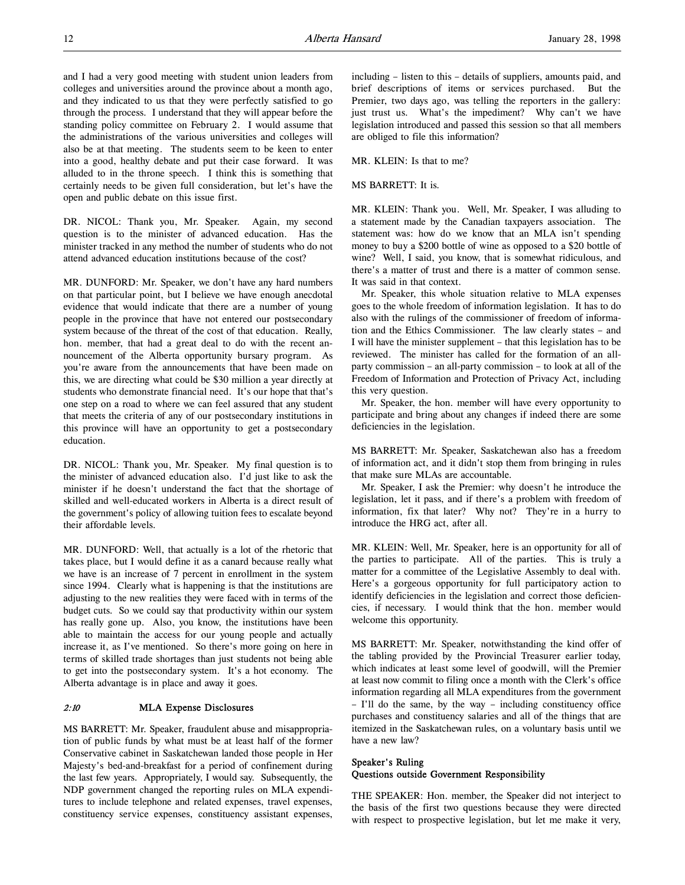and I had a very good meeting with student union leaders from colleges and universities around the province about a month ago, and they indicated to us that they were perfectly satisfied to go through the process. I understand that they will appear before the standing policy committee on February 2. I would assume that the administrations of the various universities and colleges will also be at that meeting. The students seem to be keen to enter into a good, healthy debate and put their case forward. It was alluded to in the throne speech. I think this is something that certainly needs to be given full consideration, but let's have the open and public debate on this issue first.

DR. NICOL: Thank you, Mr. Speaker. Again, my second question is to the minister of advanced education. Has the minister tracked in any method the number of students who do not attend advanced education institutions because of the cost?

MR. DUNFORD: Mr. Speaker, we don't have any hard numbers on that particular point, but I believe we have enough anecdotal evidence that would indicate that there are a number of young people in the province that have not entered our postsecondary system because of the threat of the cost of that education. Really, hon. member, that had a great deal to do with the recent announcement of the Alberta opportunity bursary program. As you're aware from the announcements that have been made on this, we are directing what could be \$30 million a year directly at students who demonstrate financial need. It's our hope that that's one step on a road to where we can feel assured that any student that meets the criteria of any of our postsecondary institutions in this province will have an opportunity to get a postsecondary education.

DR. NICOL: Thank you, Mr. Speaker. My final question is to the minister of advanced education also. I'd just like to ask the minister if he doesn't understand the fact that the shortage of skilled and well-educated workers in Alberta is a direct result of the government's policy of allowing tuition fees to escalate beyond their affordable levels.

MR. DUNFORD: Well, that actually is a lot of the rhetoric that takes place, but I would define it as a canard because really what we have is an increase of 7 percent in enrollment in the system since 1994. Clearly what is happening is that the institutions are adjusting to the new realities they were faced with in terms of the budget cuts. So we could say that productivity within our system has really gone up. Also, you know, the institutions have been able to maintain the access for our young people and actually increase it, as I've mentioned. So there's more going on here in terms of skilled trade shortages than just students not being able to get into the postsecondary system. It's a hot economy. The Alberta advantage is in place and away it goes.

# 2:10 MLA Expense Disclosures

MS BARRETT: Mr. Speaker, fraudulent abuse and misappropriation of public funds by what must be at least half of the former Conservative cabinet in Saskatchewan landed those people in Her Majesty's bed-and-breakfast for a period of confinement during the last few years. Appropriately, I would say. Subsequently, the NDP government changed the reporting rules on MLA expenditures to include telephone and related expenses, travel expenses, constituency service expenses, constituency assistant expenses,

including – listen to this – details of suppliers, amounts paid, and brief descriptions of items or services purchased. But the Premier, two days ago, was telling the reporters in the gallery: just trust us. What's the impediment? Why can't we have legislation introduced and passed this session so that all members are obliged to file this information?

### MR. KLEIN: Is that to me?

#### MS BARRETT: It is.

MR. KLEIN: Thank you. Well, Mr. Speaker, I was alluding to a statement made by the Canadian taxpayers association. The statement was: how do we know that an MLA isn't spending money to buy a \$200 bottle of wine as opposed to a \$20 bottle of wine? Well, I said, you know, that is somewhat ridiculous, and there's a matter of trust and there is a matter of common sense. It was said in that context.

Mr. Speaker, this whole situation relative to MLA expenses goes to the whole freedom of information legislation. It has to do also with the rulings of the commissioner of freedom of information and the Ethics Commissioner. The law clearly states – and I will have the minister supplement – that this legislation has to be reviewed. The minister has called for the formation of an allparty commission – an all-party commission – to look at all of the Freedom of Information and Protection of Privacy Act, including this very question.

Mr. Speaker, the hon. member will have every opportunity to participate and bring about any changes if indeed there are some deficiencies in the legislation.

MS BARRETT: Mr. Speaker, Saskatchewan also has a freedom of information act, and it didn't stop them from bringing in rules that make sure MLAs are accountable.

Mr. Speaker, I ask the Premier: why doesn't he introduce the legislation, let it pass, and if there's a problem with freedom of information, fix that later? Why not? They're in a hurry to introduce the HRG act, after all.

MR. KLEIN: Well, Mr. Speaker, here is an opportunity for all of the parties to participate. All of the parties. This is truly a matter for a committee of the Legislative Assembly to deal with. Here's a gorgeous opportunity for full participatory action to identify deficiencies in the legislation and correct those deficiencies, if necessary. I would think that the hon. member would welcome this opportunity.

MS BARRETT: Mr. Speaker, notwithstanding the kind offer of the tabling provided by the Provincial Treasurer earlier today, which indicates at least some level of goodwill, will the Premier at least now commit to filing once a month with the Clerk's office information regarding all MLA expenditures from the government – I'll do the same, by the way – including constituency office purchases and constituency salaries and all of the things that are itemized in the Saskatchewan rules, on a voluntary basis until we have a new law?

# Speaker's Ruling Questions outside Government Responsibility

THE SPEAKER: Hon. member, the Speaker did not interject to the basis of the first two questions because they were directed with respect to prospective legislation, but let me make it very,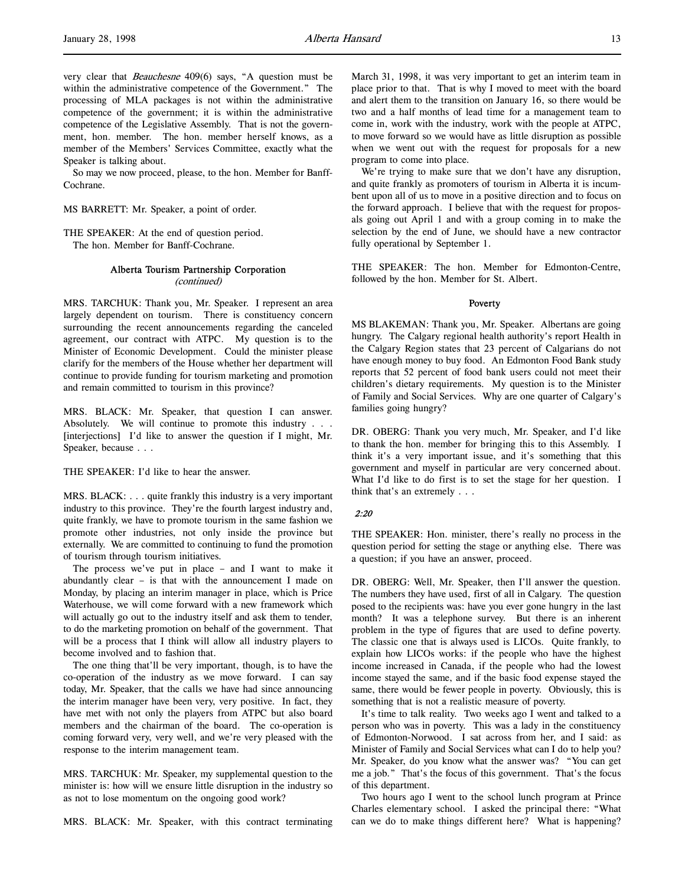very clear that Beauchesne 409(6) says, "A question must be within the administrative competence of the Government." The processing of MLA packages is not within the administrative competence of the government; it is within the administrative competence of the Legislative Assembly. That is not the government, hon. member. The hon. member herself knows, as a member of the Members' Services Committee, exactly what the Speaker is talking about.

So may we now proceed, please, to the hon. Member for Banff-Cochrane.

MS BARRETT: Mr. Speaker, a point of order.

THE SPEAKER: At the end of question period. The hon. Member for Banff-Cochrane.

### Alberta Tourism Partnership Corporation

(continued)

MRS. TARCHUK: Thank you, Mr. Speaker. I represent an area largely dependent on tourism. There is constituency concern surrounding the recent announcements regarding the canceled agreement, our contract with ATPC. My question is to the Minister of Economic Development. Could the minister please clarify for the members of the House whether her department will continue to provide funding for tourism marketing and promotion and remain committed to tourism in this province?

MRS. BLACK: Mr. Speaker, that question I can answer. Absolutely. We will continue to promote this industry . . . [interjections] I'd like to answer the question if I might, Mr. Speaker, because . . .

THE SPEAKER: I'd like to hear the answer.

MRS. BLACK: . . . quite frankly this industry is a very important industry to this province. They're the fourth largest industry and, quite frankly, we have to promote tourism in the same fashion we promote other industries, not only inside the province but externally. We are committed to continuing to fund the promotion of tourism through tourism initiatives.

The process we've put in place – and I want to make it abundantly clear – is that with the announcement I made on Monday, by placing an interim manager in place, which is Price Waterhouse, we will come forward with a new framework which will actually go out to the industry itself and ask them to tender, to do the marketing promotion on behalf of the government. That will be a process that I think will allow all industry players to become involved and to fashion that.

The one thing that'll be very important, though, is to have the co-operation of the industry as we move forward. I can say today, Mr. Speaker, that the calls we have had since announcing the interim manager have been very, very positive. In fact, they have met with not only the players from ATPC but also board members and the chairman of the board. The co-operation is coming forward very, very well, and we're very pleased with the response to the interim management team.

MRS. TARCHUK: Mr. Speaker, my supplemental question to the minister is: how will we ensure little disruption in the industry so as not to lose momentum on the ongoing good work?

MRS. BLACK: Mr. Speaker, with this contract terminating

March 31, 1998, it was very important to get an interim team in place prior to that. That is why I moved to meet with the board and alert them to the transition on January 16, so there would be two and a half months of lead time for a management team to come in, work with the industry, work with the people at ATPC, to move forward so we would have as little disruption as possible when we went out with the request for proposals for a new program to come into place.

We're trying to make sure that we don't have any disruption, and quite frankly as promoters of tourism in Alberta it is incumbent upon all of us to move in a positive direction and to focus on the forward approach. I believe that with the request for proposals going out April 1 and with a group coming in to make the selection by the end of June, we should have a new contractor fully operational by September 1.

THE SPEAKER: The hon. Member for Edmonton-Centre, followed by the hon. Member for St. Albert.

#### Poverty

MS BLAKEMAN: Thank you, Mr. Speaker. Albertans are going hungry. The Calgary regional health authority's report Health in the Calgary Region states that 23 percent of Calgarians do not have enough money to buy food. An Edmonton Food Bank study reports that 52 percent of food bank users could not meet their children's dietary requirements. My question is to the Minister of Family and Social Services. Why are one quarter of Calgary's families going hungry?

DR. OBERG: Thank you very much, Mr. Speaker, and I'd like to thank the hon. member for bringing this to this Assembly. I think it's a very important issue, and it's something that this government and myself in particular are very concerned about. What I'd like to do first is to set the stage for her question. I think that's an extremely . . .

#### 2:20

THE SPEAKER: Hon. minister, there's really no process in the question period for setting the stage or anything else. There was a question; if you have an answer, proceed.

DR. OBERG: Well, Mr. Speaker, then I'll answer the question. The numbers they have used, first of all in Calgary. The question posed to the recipients was: have you ever gone hungry in the last month? It was a telephone survey. But there is an inherent problem in the type of figures that are used to define poverty. The classic one that is always used is LICOs. Quite frankly, to explain how LICOs works: if the people who have the highest income increased in Canada, if the people who had the lowest income stayed the same, and if the basic food expense stayed the same, there would be fewer people in poverty. Obviously, this is something that is not a realistic measure of poverty.

It's time to talk reality. Two weeks ago I went and talked to a person who was in poverty. This was a lady in the constituency of Edmonton-Norwood. I sat across from her, and I said: as Minister of Family and Social Services what can I do to help you? Mr. Speaker, do you know what the answer was? "You can get me a job." That's the focus of this government. That's the focus of this department.

Two hours ago I went to the school lunch program at Prince Charles elementary school. I asked the principal there: "What can we do to make things different here? What is happening?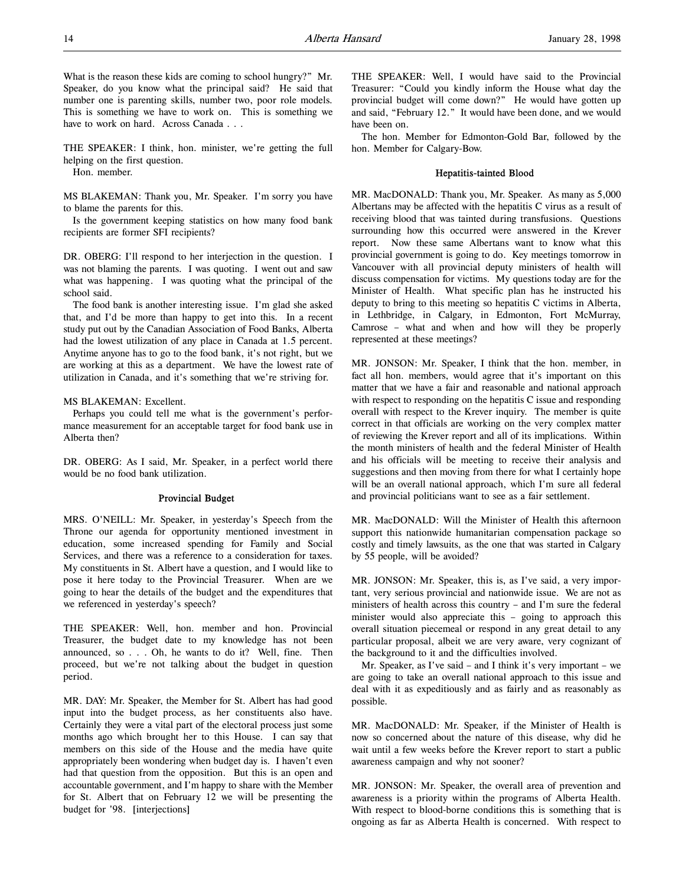What is the reason these kids are coming to school hungry?" Mr. Speaker, do you know what the principal said? He said that number one is parenting skills, number two, poor role models. This is something we have to work on. This is something we have to work on hard. Across Canada . . .

THE SPEAKER: I think, hon. minister, we're getting the full helping on the first question.

Hon. member.

MS BLAKEMAN: Thank you, Mr. Speaker. I'm sorry you have to blame the parents for this.

Is the government keeping statistics on how many food bank recipients are former SFI recipients?

DR. OBERG: I'll respond to her interjection in the question. I was not blaming the parents. I was quoting. I went out and saw what was happening. I was quoting what the principal of the school said.

The food bank is another interesting issue. I'm glad she asked that, and I'd be more than happy to get into this. In a recent study put out by the Canadian Association of Food Banks, Alberta had the lowest utilization of any place in Canada at 1.5 percent. Anytime anyone has to go to the food bank, it's not right, but we are working at this as a department. We have the lowest rate of utilization in Canada, and it's something that we're striving for.

MS BLAKEMAN: Excellent.

Perhaps you could tell me what is the government's performance measurement for an acceptable target for food bank use in Alberta then?

DR. OBERG: As I said, Mr. Speaker, in a perfect world there would be no food bank utilization.

# Provincial Budget

MRS. O'NEILL: Mr. Speaker, in yesterday's Speech from the Throne our agenda for opportunity mentioned investment in education, some increased spending for Family and Social Services, and there was a reference to a consideration for taxes. My constituents in St. Albert have a question, and I would like to pose it here today to the Provincial Treasurer. When are we going to hear the details of the budget and the expenditures that we referenced in yesterday's speech?

THE SPEAKER: Well, hon. member and hon. Provincial Treasurer, the budget date to my knowledge has not been announced, so . . . Oh, he wants to do it? Well, fine. Then proceed, but we're not talking about the budget in question period.

MR. DAY: Mr. Speaker, the Member for St. Albert has had good input into the budget process, as her constituents also have. Certainly they were a vital part of the electoral process just some months ago which brought her to this House. I can say that members on this side of the House and the media have quite appropriately been wondering when budget day is. I haven't even had that question from the opposition. But this is an open and accountable government, and I'm happy to share with the Member for St. Albert that on February 12 we will be presenting the budget for '98. [interjections]

THE SPEAKER: Well, I would have said to the Provincial Treasurer: "Could you kindly inform the House what day the provincial budget will come down?" He would have gotten up and said, "February 12." It would have been done, and we would have been on.

The hon. Member for Edmonton-Gold Bar, followed by the hon. Member for Calgary-Bow.

#### Hepatitis-tainted Blood

MR. MacDONALD: Thank you, Mr. Speaker. As many as 5,000 Albertans may be affected with the hepatitis C virus as a result of receiving blood that was tainted during transfusions. Questions surrounding how this occurred were answered in the Krever report. Now these same Albertans want to know what this provincial government is going to do. Key meetings tomorrow in Vancouver with all provincial deputy ministers of health will discuss compensation for victims. My questions today are for the Minister of Health. What specific plan has he instructed his deputy to bring to this meeting so hepatitis C victims in Alberta, in Lethbridge, in Calgary, in Edmonton, Fort McMurray, Camrose – what and when and how will they be properly represented at these meetings?

MR. JONSON: Mr. Speaker, I think that the hon. member, in fact all hon. members, would agree that it's important on this matter that we have a fair and reasonable and national approach with respect to responding on the hepatitis C issue and responding overall with respect to the Krever inquiry. The member is quite correct in that officials are working on the very complex matter of reviewing the Krever report and all of its implications. Within the month ministers of health and the federal Minister of Health and his officials will be meeting to receive their analysis and suggestions and then moving from there for what I certainly hope will be an overall national approach, which I'm sure all federal and provincial politicians want to see as a fair settlement.

MR. MacDONALD: Will the Minister of Health this afternoon support this nationwide humanitarian compensation package so costly and timely lawsuits, as the one that was started in Calgary by 55 people, will be avoided?

MR. JONSON: Mr. Speaker, this is, as I've said, a very important, very serious provincial and nationwide issue. We are not as ministers of health across this country – and I'm sure the federal minister would also appreciate this – going to approach this overall situation piecemeal or respond in any great detail to any particular proposal, albeit we are very aware, very cognizant of the background to it and the difficulties involved.

Mr. Speaker, as I've said – and I think it's very important – we are going to take an overall national approach to this issue and deal with it as expeditiously and as fairly and as reasonably as possible.

MR. MacDONALD: Mr. Speaker, if the Minister of Health is now so concerned about the nature of this disease, why did he wait until a few weeks before the Krever report to start a public awareness campaign and why not sooner?

MR. JONSON: Mr. Speaker, the overall area of prevention and awareness is a priority within the programs of Alberta Health. With respect to blood-borne conditions this is something that is ongoing as far as Alberta Health is concerned. With respect to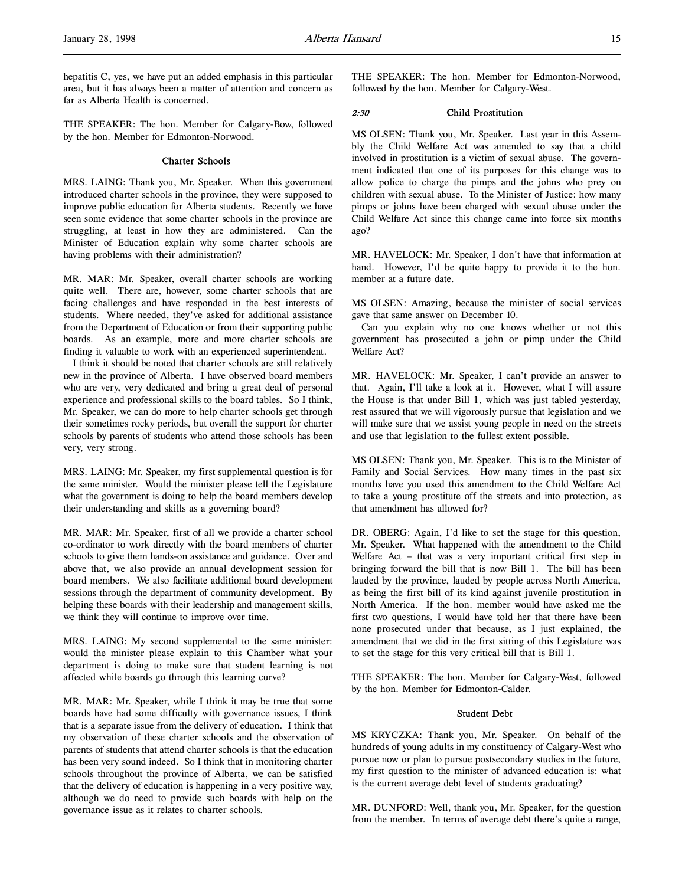hepatitis C, yes, we have put an added emphasis in this particular area, but it has always been a matter of attention and concern as far as Alberta Health is concerned.

THE SPEAKER: The hon. Member for Calgary-Bow, followed by the hon. Member for Edmonton-Norwood.

# Charter Schools

MRS. LAING: Thank you, Mr. Speaker. When this government introduced charter schools in the province, they were supposed to improve public education for Alberta students. Recently we have seen some evidence that some charter schools in the province are struggling, at least in how they are administered. Can the Minister of Education explain why some charter schools are having problems with their administration?

MR. MAR: Mr. Speaker, overall charter schools are working quite well. There are, however, some charter schools that are facing challenges and have responded in the best interests of students. Where needed, they've asked for additional assistance from the Department of Education or from their supporting public boards. As an example, more and more charter schools are finding it valuable to work with an experienced superintendent.

I think it should be noted that charter schools are still relatively new in the province of Alberta. I have observed board members who are very, very dedicated and bring a great deal of personal experience and professional skills to the board tables. So I think, Mr. Speaker, we can do more to help charter schools get through their sometimes rocky periods, but overall the support for charter schools by parents of students who attend those schools has been very, very strong.

MRS. LAING: Mr. Speaker, my first supplemental question is for the same minister. Would the minister please tell the Legislature what the government is doing to help the board members develop their understanding and skills as a governing board?

MR. MAR: Mr. Speaker, first of all we provide a charter school co-ordinator to work directly with the board members of charter schools to give them hands-on assistance and guidance. Over and above that, we also provide an annual development session for board members. We also facilitate additional board development sessions through the department of community development. By helping these boards with their leadership and management skills, we think they will continue to improve over time.

MRS. LAING: My second supplemental to the same minister: would the minister please explain to this Chamber what your department is doing to make sure that student learning is not affected while boards go through this learning curve?

MR. MAR: Mr. Speaker, while I think it may be true that some boards have had some difficulty with governance issues, I think that is a separate issue from the delivery of education. I think that my observation of these charter schools and the observation of parents of students that attend charter schools is that the education has been very sound indeed. So I think that in monitoring charter schools throughout the province of Alberta, we can be satisfied that the delivery of education is happening in a very positive way, although we do need to provide such boards with help on the governance issue as it relates to charter schools.

THE SPEAKER: The hon. Member for Edmonton-Norwood, followed by the hon. Member for Calgary-West.

# 2:30 Child Prostitution

MS OLSEN: Thank you, Mr. Speaker. Last year in this Assembly the Child Welfare Act was amended to say that a child involved in prostitution is a victim of sexual abuse. The government indicated that one of its purposes for this change was to allow police to charge the pimps and the johns who prey on children with sexual abuse. To the Minister of Justice: how many pimps or johns have been charged with sexual abuse under the Child Welfare Act since this change came into force six months ago?

MR. HAVELOCK: Mr. Speaker, I don't have that information at hand. However, I'd be quite happy to provide it to the hon. member at a future date.

MS OLSEN: Amazing, because the minister of social services gave that same answer on December 10.

Can you explain why no one knows whether or not this government has prosecuted a john or pimp under the Child Welfare Act?

MR. HAVELOCK: Mr. Speaker, I can't provide an answer to that. Again, I'll take a look at it. However, what I will assure the House is that under Bill 1, which was just tabled yesterday, rest assured that we will vigorously pursue that legislation and we will make sure that we assist young people in need on the streets and use that legislation to the fullest extent possible.

MS OLSEN: Thank you, Mr. Speaker. This is to the Minister of Family and Social Services. How many times in the past six months have you used this amendment to the Child Welfare Act to take a young prostitute off the streets and into protection, as that amendment has allowed for?

DR. OBERG: Again, I'd like to set the stage for this question, Mr. Speaker. What happened with the amendment to the Child Welfare Act – that was a very important critical first step in bringing forward the bill that is now Bill 1. The bill has been lauded by the province, lauded by people across North America, as being the first bill of its kind against juvenile prostitution in North America. If the hon. member would have asked me the first two questions, I would have told her that there have been none prosecuted under that because, as I just explained, the amendment that we did in the first sitting of this Legislature was to set the stage for this very critical bill that is Bill 1.

THE SPEAKER: The hon. Member for Calgary-West, followed by the hon. Member for Edmonton-Calder.

### Student Debt

MS KRYCZKA: Thank you, Mr. Speaker. On behalf of the hundreds of young adults in my constituency of Calgary-West who pursue now or plan to pursue postsecondary studies in the future, my first question to the minister of advanced education is: what is the current average debt level of students graduating?

MR. DUNFORD: Well, thank you, Mr. Speaker, for the question from the member. In terms of average debt there's quite a range,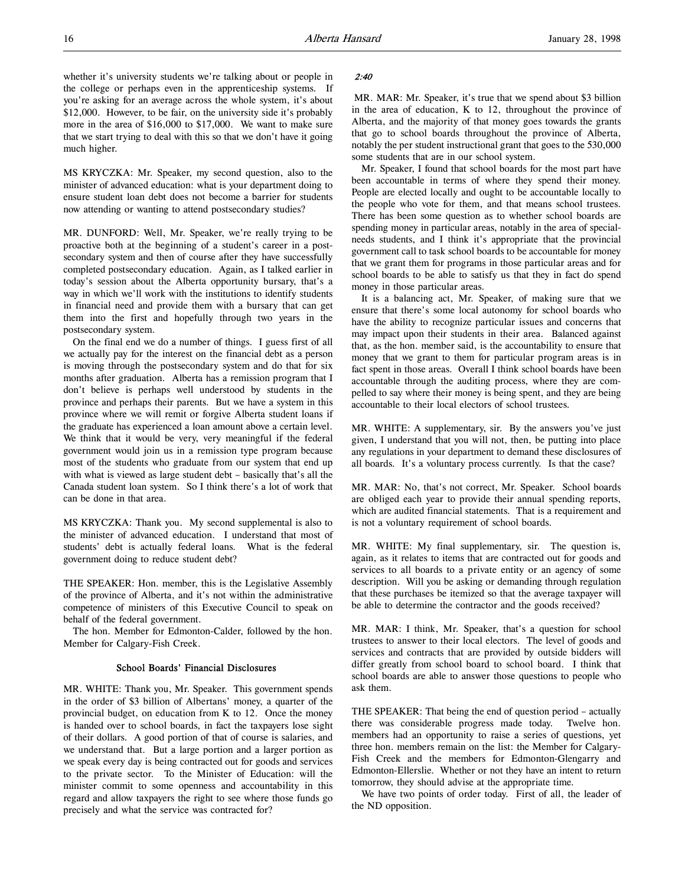whether it's university students we're talking about or people in the college or perhaps even in the apprenticeship systems. If you're asking for an average across the whole system, it's about \$12,000. However, to be fair, on the university side it's probably more in the area of \$16,000 to \$17,000. We want to make sure that we start trying to deal with this so that we don't have it going much higher.

MS KRYCZKA: Mr. Speaker, my second question, also to the minister of advanced education: what is your department doing to ensure student loan debt does not become a barrier for students now attending or wanting to attend postsecondary studies?

MR. DUNFORD: Well, Mr. Speaker, we're really trying to be proactive both at the beginning of a student's career in a postsecondary system and then of course after they have successfully completed postsecondary education. Again, as I talked earlier in today's session about the Alberta opportunity bursary, that's a way in which we'll work with the institutions to identify students in financial need and provide them with a bursary that can get them into the first and hopefully through two years in the postsecondary system.

On the final end we do a number of things. I guess first of all we actually pay for the interest on the financial debt as a person is moving through the postsecondary system and do that for six months after graduation. Alberta has a remission program that I don't believe is perhaps well understood by students in the province and perhaps their parents. But we have a system in this province where we will remit or forgive Alberta student loans if the graduate has experienced a loan amount above a certain level. We think that it would be very, very meaningful if the federal government would join us in a remission type program because most of the students who graduate from our system that end up with what is viewed as large student debt – basically that's all the Canada student loan system. So I think there's a lot of work that can be done in that area.

MS KRYCZKA: Thank you. My second supplemental is also to the minister of advanced education. I understand that most of students' debt is actually federal loans. What is the federal government doing to reduce student debt?

THE SPEAKER: Hon. member, this is the Legislative Assembly of the province of Alberta, and it's not within the administrative competence of ministers of this Executive Council to speak on behalf of the federal government.

The hon. Member for Edmonton-Calder, followed by the hon. Member for Calgary-Fish Creek.

# School Boards' Financial Disclosures

MR. WHITE: Thank you, Mr. Speaker. This government spends in the order of \$3 billion of Albertans' money, a quarter of the provincial budget, on education from K to 12. Once the money is handed over to school boards, in fact the taxpayers lose sight of their dollars. A good portion of that of course is salaries, and we understand that. But a large portion and a larger portion as we speak every day is being contracted out for goods and services to the private sector. To the Minister of Education: will the minister commit to some openness and accountability in this regard and allow taxpayers the right to see where those funds go precisely and what the service was contracted for?

# 2:40

MR. MAR: Mr. Speaker, it's true that we spend about \$3 billion in the area of education, K to 12, throughout the province of Alberta, and the majority of that money goes towards the grants that go to school boards throughout the province of Alberta, notably the per student instructional grant that goes to the 530,000 some students that are in our school system.

Mr. Speaker, I found that school boards for the most part have been accountable in terms of where they spend their money. People are elected locally and ought to be accountable locally to the people who vote for them, and that means school trustees. There has been some question as to whether school boards are spending money in particular areas, notably in the area of specialneeds students, and I think it's appropriate that the provincial government call to task school boards to be accountable for money that we grant them for programs in those particular areas and for school boards to be able to satisfy us that they in fact do spend money in those particular areas.

It is a balancing act, Mr. Speaker, of making sure that we ensure that there's some local autonomy for school boards who have the ability to recognize particular issues and concerns that may impact upon their students in their area. Balanced against that, as the hon. member said, is the accountability to ensure that money that we grant to them for particular program areas is in fact spent in those areas. Overall I think school boards have been accountable through the auditing process, where they are compelled to say where their money is being spent, and they are being accountable to their local electors of school trustees.

MR. WHITE: A supplementary, sir. By the answers you've just given, I understand that you will not, then, be putting into place any regulations in your department to demand these disclosures of all boards. It's a voluntary process currently. Is that the case?

MR. MAR: No, that's not correct, Mr. Speaker. School boards are obliged each year to provide their annual spending reports, which are audited financial statements. That is a requirement and is not a voluntary requirement of school boards.

MR. WHITE: My final supplementary, sir. The question is, again, as it relates to items that are contracted out for goods and services to all boards to a private entity or an agency of some description. Will you be asking or demanding through regulation that these purchases be itemized so that the average taxpayer will be able to determine the contractor and the goods received?

MR. MAR: I think, Mr. Speaker, that's a question for school trustees to answer to their local electors. The level of goods and services and contracts that are provided by outside bidders will differ greatly from school board to school board. I think that school boards are able to answer those questions to people who ask them.

THE SPEAKER: That being the end of question period – actually there was considerable progress made today. Twelve hon. members had an opportunity to raise a series of questions, yet three hon. members remain on the list: the Member for Calgary-Fish Creek and the members for Edmonton-Glengarry and Edmonton-Ellerslie. Whether or not they have an intent to return tomorrow, they should advise at the appropriate time.

We have two points of order today. First of all, the leader of the ND opposition.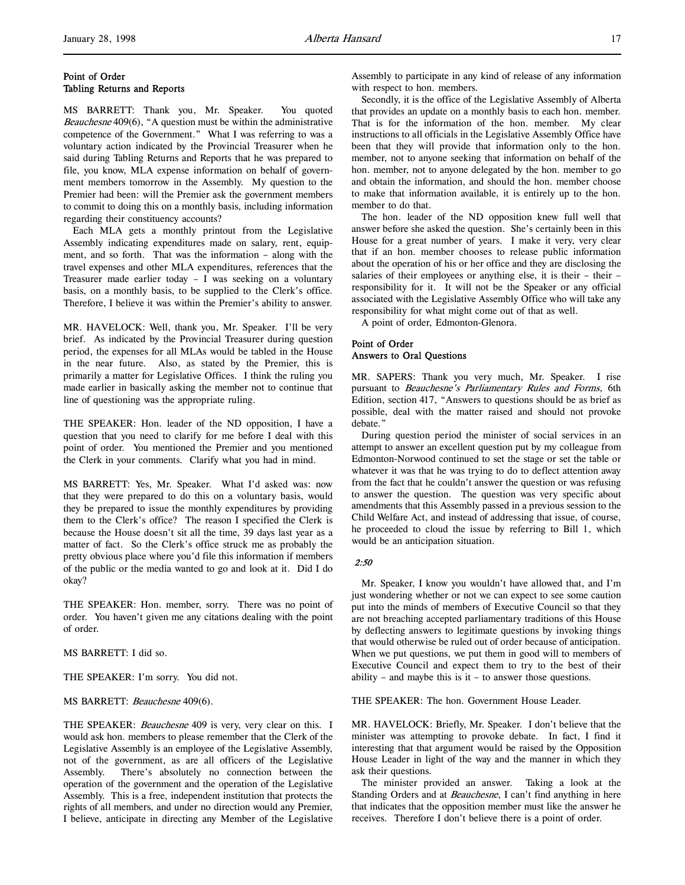# Point of Order Tabling Returns and Reports

MS BARRETT: Thank you, Mr. Speaker. You quoted Beauchesne 409(6), "A question must be within the administrative competence of the Government." What I was referring to was a voluntary action indicated by the Provincial Treasurer when he said during Tabling Returns and Reports that he was prepared to file, you know, MLA expense information on behalf of government members tomorrow in the Assembly. My question to the Premier had been: will the Premier ask the government members to commit to doing this on a monthly basis, including information regarding their constituency accounts?

Each MLA gets a monthly printout from the Legislative Assembly indicating expenditures made on salary, rent, equipment, and so forth. That was the information – along with the travel expenses and other MLA expenditures, references that the Treasurer made earlier today – I was seeking on a voluntary basis, on a monthly basis, to be supplied to the Clerk's office. Therefore, I believe it was within the Premier's ability to answer.

MR. HAVELOCK: Well, thank you, Mr. Speaker. I'll be very brief. As indicated by the Provincial Treasurer during question period, the expenses for all MLAs would be tabled in the House in the near future. Also, as stated by the Premier, this is primarily a matter for Legislative Offices. I think the ruling you made earlier in basically asking the member not to continue that line of questioning was the appropriate ruling.

THE SPEAKER: Hon. leader of the ND opposition, I have a question that you need to clarify for me before I deal with this point of order. You mentioned the Premier and you mentioned the Clerk in your comments. Clarify what you had in mind.

MS BARRETT: Yes, Mr. Speaker. What I'd asked was: now that they were prepared to do this on a voluntary basis, would they be prepared to issue the monthly expenditures by providing them to the Clerk's office? The reason I specified the Clerk is because the House doesn't sit all the time, 39 days last year as a matter of fact. So the Clerk's office struck me as probably the pretty obvious place where you'd file this information if members of the public or the media wanted to go and look at it. Did I do okay?

THE SPEAKER: Hon. member, sorry. There was no point of order. You haven't given me any citations dealing with the point of order.

MS BARRETT: I did so.

THE SPEAKER: I'm sorry. You did not.

MS BARRETT: Beauchesne 409(6).

THE SPEAKER: Beauchesne 409 is very, very clear on this. I would ask hon. members to please remember that the Clerk of the Legislative Assembly is an employee of the Legislative Assembly, not of the government, as are all officers of the Legislative Assembly. There's absolutely no connection between the operation of the government and the operation of the Legislative Assembly. This is a free, independent institution that protects the rights of all members, and under no direction would any Premier, I believe, anticipate in directing any Member of the Legislative

Assembly to participate in any kind of release of any information with respect to hon. members.

Secondly, it is the office of the Legislative Assembly of Alberta that provides an update on a monthly basis to each hon. member. That is for the information of the hon. member. My clear instructions to all officials in the Legislative Assembly Office have been that they will provide that information only to the hon. member, not to anyone seeking that information on behalf of the hon. member, not to anyone delegated by the hon. member to go and obtain the information, and should the hon. member choose to make that information available, it is entirely up to the hon. member to do that.

The hon. leader of the ND opposition knew full well that answer before she asked the question. She's certainly been in this House for a great number of years. I make it very, very clear that if an hon. member chooses to release public information about the operation of his or her office and they are disclosing the salaries of their employees or anything else, it is their – their – responsibility for it. It will not be the Speaker or any official associated with the Legislative Assembly Office who will take any responsibility for what might come out of that as well.

A point of order, Edmonton-Glenora.

# Point of Order Answers to Oral Questions

MR. SAPERS: Thank you very much, Mr. Speaker. I rise pursuant to Beauchesne's Parliamentary Rules and Forms, 6th Edition, section 417, "Answers to questions should be as brief as possible, deal with the matter raised and should not provoke debate."

During question period the minister of social services in an attempt to answer an excellent question put by my colleague from Edmonton-Norwood continued to set the stage or set the table or whatever it was that he was trying to do to deflect attention away from the fact that he couldn't answer the question or was refusing to answer the question. The question was very specific about amendments that this Assembly passed in a previous session to the Child Welfare Act, and instead of addressing that issue, of course, he proceeded to cloud the issue by referring to Bill 1, which would be an anticipation situation.

2:50

Mr. Speaker, I know you wouldn't have allowed that, and I'm just wondering whether or not we can expect to see some caution put into the minds of members of Executive Council so that they are not breaching accepted parliamentary traditions of this House by deflecting answers to legitimate questions by invoking things that would otherwise be ruled out of order because of anticipation. When we put questions, we put them in good will to members of Executive Council and expect them to try to the best of their ability – and maybe this is it – to answer those questions.

THE SPEAKER: The hon. Government House Leader.

MR. HAVELOCK: Briefly, Mr. Speaker. I don't believe that the minister was attempting to provoke debate. In fact, I find it interesting that that argument would be raised by the Opposition House Leader in light of the way and the manner in which they ask their questions.

The minister provided an answer. Taking a look at the Standing Orders and at *Beauchesne*, I can't find anything in here that indicates that the opposition member must like the answer he receives. Therefore I don't believe there is a point of order.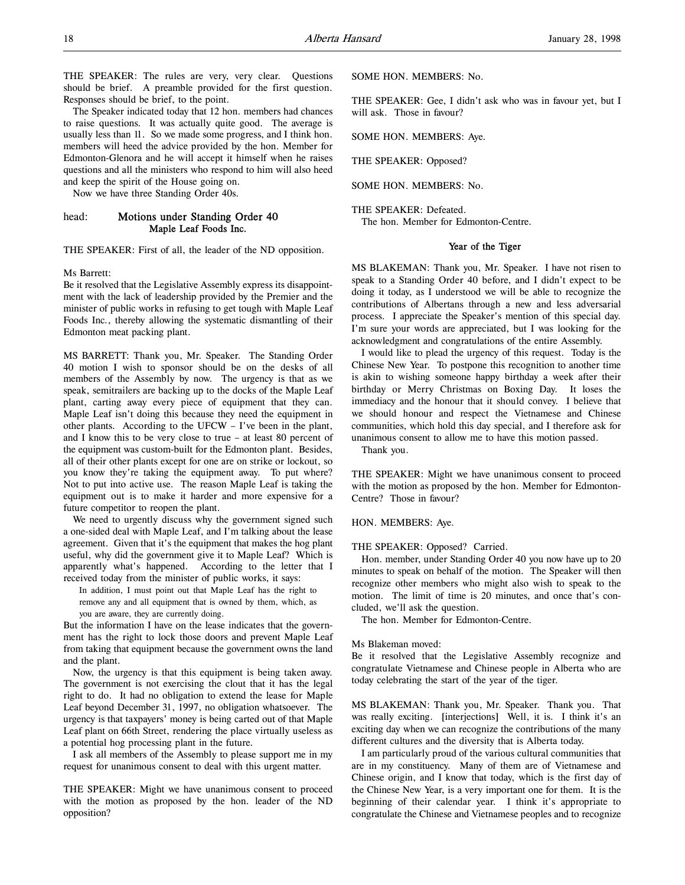THE SPEAKER: The rules are very, very clear. Questions should be brief. A preamble provided for the first question. Responses should be brief, to the point.

The Speaker indicated today that 12 hon. members had chances to raise questions. It was actually quite good. The average is usually less than 11. So we made some progress, and I think hon. members will heed the advice provided by the hon. Member for Edmonton-Glenora and he will accept it himself when he raises questions and all the ministers who respond to him will also heed and keep the spirit of the House going on.

Now we have three Standing Order 40s.

# head: Motions under Standing Order 40 Maple Leaf Foods Inc.

THE SPEAKER: First of all, the leader of the ND opposition.

Ms Barrett:

Be it resolved that the Legislative Assembly express its disappointment with the lack of leadership provided by the Premier and the minister of public works in refusing to get tough with Maple Leaf Foods Inc., thereby allowing the systematic dismantling of their Edmonton meat packing plant.

MS BARRETT: Thank you, Mr. Speaker. The Standing Order 40 motion I wish to sponsor should be on the desks of all members of the Assembly by now. The urgency is that as we speak, semitrailers are backing up to the docks of the Maple Leaf plant, carting away every piece of equipment that they can. Maple Leaf isn't doing this because they need the equipment in other plants. According to the UFCW – I've been in the plant, and I know this to be very close to true – at least 80 percent of the equipment was custom-built for the Edmonton plant. Besides, all of their other plants except for one are on strike or lockout, so you know they're taking the equipment away. To put where? Not to put into active use. The reason Maple Leaf is taking the equipment out is to make it harder and more expensive for a future competitor to reopen the plant.

We need to urgently discuss why the government signed such a one-sided deal with Maple Leaf, and I'm talking about the lease agreement. Given that it's the equipment that makes the hog plant useful, why did the government give it to Maple Leaf? Which is apparently what's happened. According to the letter that I received today from the minister of public works, it says:

In addition, I must point out that Maple Leaf has the right to remove any and all equipment that is owned by them, which, as you are aware, they are currently doing.

But the information I have on the lease indicates that the government has the right to lock those doors and prevent Maple Leaf from taking that equipment because the government owns the land and the plant.

Now, the urgency is that this equipment is being taken away. The government is not exercising the clout that it has the legal right to do. It had no obligation to extend the lease for Maple Leaf beyond December 31, 1997, no obligation whatsoever. The urgency is that taxpayers' money is being carted out of that Maple Leaf plant on 66th Street, rendering the place virtually useless as a potential hog processing plant in the future.

I ask all members of the Assembly to please support me in my request for unanimous consent to deal with this urgent matter.

THE SPEAKER: Might we have unanimous consent to proceed with the motion as proposed by the hon. leader of the ND opposition?

SOME HON. MEMBERS: No.

THE SPEAKER: Gee, I didn't ask who was in favour yet, but I will ask. Those in favour?

SOME HON. MEMBERS: Aye.

THE SPEAKER: Opposed?

SOME HON. MEMBERS: No.

THE SPEAKER: Defeated. The hon. Member for Edmonton-Centre.

#### Year of the Tiger

MS BLAKEMAN: Thank you, Mr. Speaker. I have not risen to speak to a Standing Order 40 before, and I didn't expect to be doing it today, as I understood we will be able to recognize the contributions of Albertans through a new and less adversarial process. I appreciate the Speaker's mention of this special day. I'm sure your words are appreciated, but I was looking for the acknowledgment and congratulations of the entire Assembly.

I would like to plead the urgency of this request. Today is the Chinese New Year. To postpone this recognition to another time is akin to wishing someone happy birthday a week after their birthday or Merry Christmas on Boxing Day. It loses the immediacy and the honour that it should convey. I believe that we should honour and respect the Vietnamese and Chinese communities, which hold this day special, and I therefore ask for unanimous consent to allow me to have this motion passed.

Thank you.

THE SPEAKER: Might we have unanimous consent to proceed with the motion as proposed by the hon. Member for Edmonton-Centre? Those in favour?

#### HON. MEMBERS: Aye.

THE SPEAKER: Opposed? Carried.

Hon. member, under Standing Order 40 you now have up to 20 minutes to speak on behalf of the motion. The Speaker will then recognize other members who might also wish to speak to the motion. The limit of time is 20 minutes, and once that's concluded, we'll ask the question.

The hon. Member for Edmonton-Centre.

### Ms Blakeman moved:

Be it resolved that the Legislative Assembly recognize and congratulate Vietnamese and Chinese people in Alberta who are today celebrating the start of the year of the tiger.

MS BLAKEMAN: Thank you, Mr. Speaker. Thank you. That was really exciting. [interjections] Well, it is. I think it's an exciting day when we can recognize the contributions of the many different cultures and the diversity that is Alberta today.

I am particularly proud of the various cultural communities that are in my constituency. Many of them are of Vietnamese and Chinese origin, and I know that today, which is the first day of the Chinese New Year, is a very important one for them. It is the beginning of their calendar year. I think it's appropriate to congratulate the Chinese and Vietnamese peoples and to recognize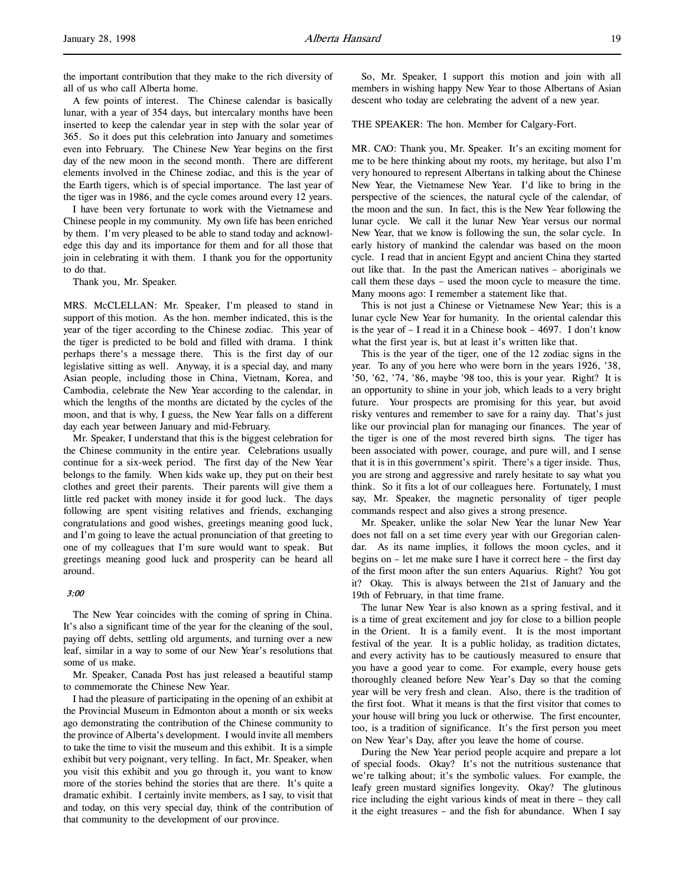the important contribution that they make to the rich diversity of all of us who call Alberta home.

A few points of interest. The Chinese calendar is basically lunar, with a year of 354 days, but intercalary months have been inserted to keep the calendar year in step with the solar year of 365. So it does put this celebration into January and sometimes even into February. The Chinese New Year begins on the first day of the new moon in the second month. There are different elements involved in the Chinese zodiac, and this is the year of the Earth tigers, which is of special importance. The last year of the tiger was in 1986, and the cycle comes around every 12 years.

I have been very fortunate to work with the Vietnamese and Chinese people in my community. My own life has been enriched by them. I'm very pleased to be able to stand today and acknowledge this day and its importance for them and for all those that join in celebrating it with them. I thank you for the opportunity to do that.

Thank you, Mr. Speaker.

MRS. McCLELLAN: Mr. Speaker, I'm pleased to stand in support of this motion. As the hon. member indicated, this is the year of the tiger according to the Chinese zodiac. This year of the tiger is predicted to be bold and filled with drama. I think perhaps there's a message there. This is the first day of our legislative sitting as well. Anyway, it is a special day, and many Asian people, including those in China, Vietnam, Korea, and Cambodia, celebrate the New Year according to the calendar, in which the lengths of the months are dictated by the cycles of the moon, and that is why, I guess, the New Year falls on a different day each year between January and mid-February.

Mr. Speaker, I understand that this is the biggest celebration for the Chinese community in the entire year. Celebrations usually continue for a six-week period. The first day of the New Year belongs to the family. When kids wake up, they put on their best clothes and greet their parents. Their parents will give them a little red packet with money inside it for good luck. The days following are spent visiting relatives and friends, exchanging congratulations and good wishes, greetings meaning good luck, and I'm going to leave the actual pronunciation of that greeting to one of my colleagues that I'm sure would want to speak. But greetings meaning good luck and prosperity can be heard all around.

#### 3:00

The New Year coincides with the coming of spring in China. It's also a significant time of the year for the cleaning of the soul, paying off debts, settling old arguments, and turning over a new leaf, similar in a way to some of our New Year's resolutions that some of us make.

Mr. Speaker, Canada Post has just released a beautiful stamp to commemorate the Chinese New Year.

I had the pleasure of participating in the opening of an exhibit at the Provincial Museum in Edmonton about a month or six weeks ago demonstrating the contribution of the Chinese community to the province of Alberta's development. I would invite all members to take the time to visit the museum and this exhibit. It is a simple exhibit but very poignant, very telling. In fact, Mr. Speaker, when you visit this exhibit and you go through it, you want to know more of the stories behind the stories that are there. It's quite a dramatic exhibit. I certainly invite members, as I say, to visit that and today, on this very special day, think of the contribution of that community to the development of our province.

So, Mr. Speaker, I support this motion and join with all members in wishing happy New Year to those Albertans of Asian descent who today are celebrating the advent of a new year.

THE SPEAKER: The hon. Member for Calgary-Fort.

MR. CAO: Thank you, Mr. Speaker. It's an exciting moment for me to be here thinking about my roots, my heritage, but also I'm very honoured to represent Albertans in talking about the Chinese New Year, the Vietnamese New Year. I'd like to bring in the perspective of the sciences, the natural cycle of the calendar, of the moon and the sun. In fact, this is the New Year following the lunar cycle. We call it the lunar New Year versus our normal New Year, that we know is following the sun, the solar cycle. In early history of mankind the calendar was based on the moon cycle. I read that in ancient Egypt and ancient China they started out like that. In the past the American natives – aboriginals we call them these days – used the moon cycle to measure the time. Many moons ago: I remember a statement like that.

This is not just a Chinese or Vietnamese New Year; this is a lunar cycle New Year for humanity. In the oriental calendar this is the year of – I read it in a Chinese book – 4697. I don't know what the first year is, but at least it's written like that.

This is the year of the tiger, one of the 12 zodiac signs in the year. To any of you here who were born in the years 1926, '38, '50, '62, '74, '86, maybe '98 too, this is your year. Right? It is an opportunity to shine in your job, which leads to a very bright future. Your prospects are promising for this year, but avoid risky ventures and remember to save for a rainy day. That's just like our provincial plan for managing our finances. The year of the tiger is one of the most revered birth signs. The tiger has been associated with power, courage, and pure will, and I sense that it is in this government's spirit. There's a tiger inside. Thus, you are strong and aggressive and rarely hesitate to say what you think. So it fits a lot of our colleagues here. Fortunately, I must say, Mr. Speaker, the magnetic personality of tiger people commands respect and also gives a strong presence.

Mr. Speaker, unlike the solar New Year the lunar New Year does not fall on a set time every year with our Gregorian calendar. As its name implies, it follows the moon cycles, and it begins on – let me make sure I have it correct here – the first day of the first moon after the sun enters Aquarius. Right? You got it? Okay. This is always between the 21st of January and the 19th of February, in that time frame.

The lunar New Year is also known as a spring festival, and it is a time of great excitement and joy for close to a billion people in the Orient. It is a family event. It is the most important festival of the year. It is a public holiday, as tradition dictates, and every activity has to be cautiously measured to ensure that you have a good year to come. For example, every house gets thoroughly cleaned before New Year's Day so that the coming year will be very fresh and clean. Also, there is the tradition of the first foot. What it means is that the first visitor that comes to your house will bring you luck or otherwise. The first encounter, too, is a tradition of significance. It's the first person you meet on New Year's Day, after you leave the home of course.

During the New Year period people acquire and prepare a lot of special foods. Okay? It's not the nutritious sustenance that we're talking about; it's the symbolic values. For example, the leafy green mustard signifies longevity. Okay? The glutinous rice including the eight various kinds of meat in there – they call it the eight treasures – and the fish for abundance. When I say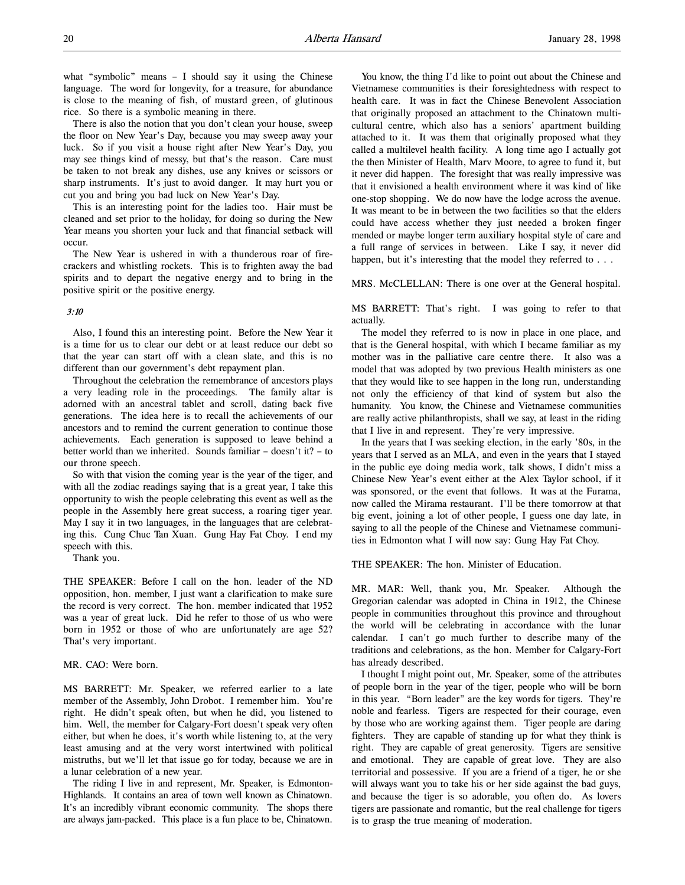what "symbolic" means – I should say it using the Chinese language. The word for longevity, for a treasure, for abundance is close to the meaning of fish, of mustard green, of glutinous rice. So there is a symbolic meaning in there.

There is also the notion that you don't clean your house, sweep the floor on New Year's Day, because you may sweep away your luck. So if you visit a house right after New Year's Day, you may see things kind of messy, but that's the reason. Care must be taken to not break any dishes, use any knives or scissors or sharp instruments. It's just to avoid danger. It may hurt you or cut you and bring you bad luck on New Year's Day.

This is an interesting point for the ladies too. Hair must be cleaned and set prior to the holiday, for doing so during the New Year means you shorten your luck and that financial setback will occur.

The New Year is ushered in with a thunderous roar of firecrackers and whistling rockets. This is to frighten away the bad spirits and to depart the negative energy and to bring in the positive spirit or the positive energy.

# 3:10

Also, I found this an interesting point. Before the New Year it is a time for us to clear our debt or at least reduce our debt so that the year can start off with a clean slate, and this is no different than our government's debt repayment plan.

Throughout the celebration the remembrance of ancestors plays a very leading role in the proceedings. The family altar is adorned with an ancestral tablet and scroll, dating back five generations. The idea here is to recall the achievements of our ancestors and to remind the current generation to continue those achievements. Each generation is supposed to leave behind a better world than we inherited. Sounds familiar – doesn't it? – to our throne speech.

So with that vision the coming year is the year of the tiger, and with all the zodiac readings saying that is a great year, I take this opportunity to wish the people celebrating this event as well as the people in the Assembly here great success, a roaring tiger year. May I say it in two languages, in the languages that are celebrating this. Cung Chuc Tan Xuan. Gung Hay Fat Choy. I end my speech with this.

Thank you.

THE SPEAKER: Before I call on the hon. leader of the ND opposition, hon. member, I just want a clarification to make sure the record is very correct. The hon. member indicated that 1952 was a year of great luck. Did he refer to those of us who were born in 1952 or those of who are unfortunately are age 52? That's very important.

# MR. CAO: Were born.

MS BARRETT: Mr. Speaker, we referred earlier to a late member of the Assembly, John Drobot. I remember him. You're right. He didn't speak often, but when he did, you listened to him. Well, the member for Calgary-Fort doesn't speak very often either, but when he does, it's worth while listening to, at the very least amusing and at the very worst intertwined with political mistruths, but we'll let that issue go for today, because we are in a lunar celebration of a new year.

The riding I live in and represent, Mr. Speaker, is Edmonton-Highlands. It contains an area of town well known as Chinatown. It's an incredibly vibrant economic community. The shops there are always jam-packed. This place is a fun place to be, Chinatown.

You know, the thing I'd like to point out about the Chinese and Vietnamese communities is their foresightedness with respect to health care. It was in fact the Chinese Benevolent Association that originally proposed an attachment to the Chinatown multicultural centre, which also has a seniors' apartment building attached to it. It was them that originally proposed what they called a multilevel health facility. A long time ago I actually got the then Minister of Health, Marv Moore, to agree to fund it, but it never did happen. The foresight that was really impressive was that it envisioned a health environment where it was kind of like one-stop shopping. We do now have the lodge across the avenue. It was meant to be in between the two facilities so that the elders could have access whether they just needed a broken finger mended or maybe longer term auxiliary hospital style of care and a full range of services in between. Like I say, it never did happen, but it's interesting that the model they referred to . . .

MRS. McCLELLAN: There is one over at the General hospital.

MS BARRETT: That's right. I was going to refer to that actually.

The model they referred to is now in place in one place, and that is the General hospital, with which I became familiar as my mother was in the palliative care centre there. It also was a model that was adopted by two previous Health ministers as one that they would like to see happen in the long run, understanding not only the efficiency of that kind of system but also the humanity. You know, the Chinese and Vietnamese communities are really active philanthropists, shall we say, at least in the riding that I live in and represent. They're very impressive.

In the years that I was seeking election, in the early '80s, in the years that I served as an MLA, and even in the years that I stayed in the public eye doing media work, talk shows, I didn't miss a Chinese New Year's event either at the Alex Taylor school, if it was sponsored, or the event that follows. It was at the Furama, now called the Mirama restaurant. I'll be there tomorrow at that big event, joining a lot of other people, I guess one day late, in saying to all the people of the Chinese and Vietnamese communities in Edmonton what I will now say: Gung Hay Fat Choy.

THE SPEAKER: The hon. Minister of Education.

MR. MAR: Well, thank you, Mr. Speaker. Although the Gregorian calendar was adopted in China in 1912, the Chinese people in communities throughout this province and throughout the world will be celebrating in accordance with the lunar calendar. I can't go much further to describe many of the traditions and celebrations, as the hon. Member for Calgary-Fort has already described.

I thought I might point out, Mr. Speaker, some of the attributes of people born in the year of the tiger, people who will be born in this year. "Born leader" are the key words for tigers. They're noble and fearless. Tigers are respected for their courage, even by those who are working against them. Tiger people are daring fighters. They are capable of standing up for what they think is right. They are capable of great generosity. Tigers are sensitive and emotional. They are capable of great love. They are also territorial and possessive. If you are a friend of a tiger, he or she will always want you to take his or her side against the bad guys, and because the tiger is so adorable, you often do. As lovers tigers are passionate and romantic, but the real challenge for tigers is to grasp the true meaning of moderation.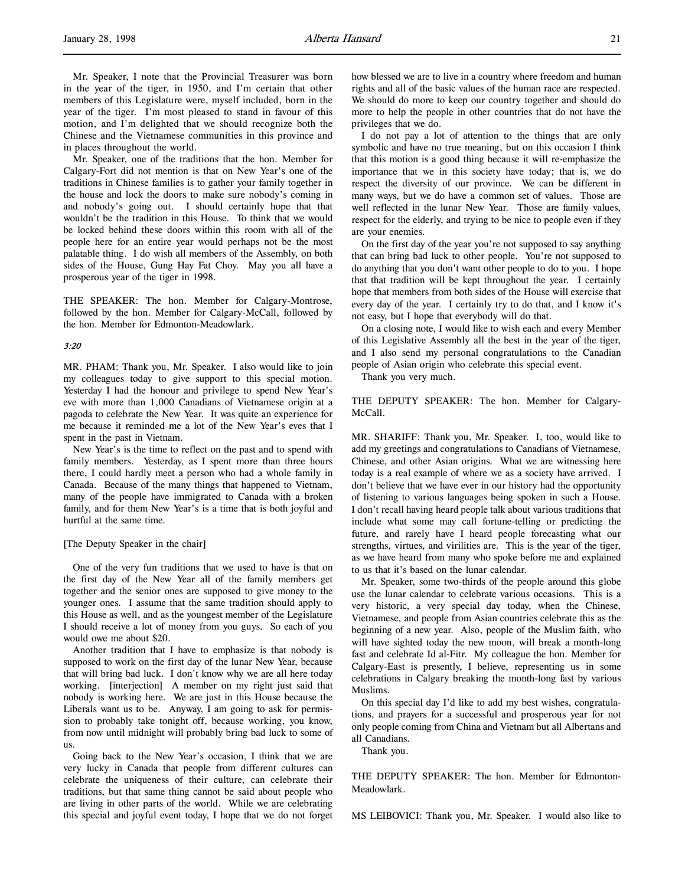Mr. Speaker, I note that the Provincial Treasurer was born in the year of the tiger, in 1950, and I'm certain that other members of this Legislature were, myself included, born in the year of the tiger. I'm most pleased to stand in favour of this motion, and I'm delighted that we should recognize both the Chinese and the Vietnamese communities in this province and in places throughout the world.

Mr. Speaker, one of the traditions that the hon. Member for Calgary-Fort did not mention is that on New Year's one of the traditions in Chinese families is to gather your family together in the house and lock the doors to make sure nobody's coming in and nobody's going out. I should certainly hope that that wouldn't be the tradition in this House. To think that we would be locked behind these doors within this room with all of the people here for an entire year would perhaps not be the most palatable thing. I do wish all members of the Assembly, on both sides of the House, Gung Hay Fat Choy. May you all have a prosperous year of the tiger in 1998.

THE SPEAKER: The hon. Member for Calgary-Montrose, followed by the hon. Member for Calgary-McCall, followed by the hon. Member for Edmonton-Meadowlark.

#### 3:20

MR. PHAM: Thank you, Mr. Speaker. I also would like to join my colleagues today to give support to this special motion. Yesterday I had the honour and privilege to spend New Year's eve with more than 1,000 Canadians of Vietnamese origin at a pagoda to celebrate the New Year. It was quite an experience for me because it reminded me a lot of the New Year's eves that I spent in the past in Vietnam.

New Year's is the time to reflect on the past and to spend with family members. Yesterday, as I spent more than three hours there, I could hardly meet a person who had a whole family in Canada. Because of the many things that happened to Vietnam, many of the people have immigrated to Canada with a broken family, and for them New Year's is a time that is both joyful and hurtful at the same time.

#### [The Deputy Speaker in the chair]

One of the very fun traditions that we used to have is that on the first day of the New Year all of the family members get together and the senior ones are supposed to give money to the younger ones. I assume that the same tradition should apply to this House as well, and as the youngest member of the Legislature I should receive a lot of money from you guys. So each of you would owe me about \$20.

Another tradition that I have to emphasize is that nobody is supposed to work on the first day of the lunar New Year, because that will bring bad luck. I don't know why we are all here today working. [interjection] A member on my right just said that nobody is working here. We are just in this House because the Liberals want us to be. Anyway, I am going to ask for permission to probably take tonight off, because working, you know, from now until midnight will probably bring bad luck to some of us.

Going back to the New Year's occasion, I think that we are very lucky in Canada that people from different cultures can celebrate the uniqueness of their culture, can celebrate their traditions, but that same thing cannot be said about people who are living in other parts of the world. While we are celebrating this special and joyful event today, I hope that we do not forget

how blessed we are to live in a country where freedom and human rights and all of the basic values of the human race are respected. We should do more to keep our country together and should do more to help the people in other countries that do not have the privileges that we do.

I do not pay a lot of attention to the things that are only symbolic and have no true meaning, but on this occasion I think that this motion is a good thing because it will re-emphasize the importance that we in this society have today; that is, we do respect the diversity of our province. We can be different in many ways, but we do have a common set of values. Those are well reflected in the lunar New Year. Those are family values, respect for the elderly, and trying to be nice to people even if they are your enemies.

On the first day of the year you're not supposed to say anything that can bring bad luck to other people. You're not supposed to do anything that you don't want other people to do to you. I hope that that tradition will be kept throughout the year. I certainly hope that members from both sides of the House will exercise that every day of the year. I certainly try to do that, and I know it's not easy, but I hope that everybody will do that.

On a closing note, I would like to wish each and every Member of this Legislative Assembly all the best in the year of the tiger, and I also send my personal congratulations to the Canadian people of Asian origin who celebrate this special event.

Thank you very much.

THE DEPUTY SPEAKER: The hon. Member for Calgary-McCall.

MR. SHARIFF: Thank you, Mr. Speaker. I, too, would like to add my greetings and congratulations to Canadians of Vietnamese, Chinese, and other Asian origins. What we are witnessing here today is a real example of where we as a society have arrived. I don't believe that we have ever in our history had the opportunity of listening to various languages being spoken in such a House. I don't recall having heard people talk about various traditions that include what some may call fortune-telling or predicting the future, and rarely have I heard people forecasting what our strengths, virtues, and virilities are. This is the year of the tiger, as we have heard from many who spoke before me and explained to us that it's based on the lunar calendar.

Mr. Speaker, some two-thirds of the people around this globe use the lunar calendar to celebrate various occasions. This is a very historic, a very special day today, when the Chinese, Vietnamese, and people from Asian countries celebrate this as the beginning of a new year. Also, people of the Muslim faith, who will have sighted today the new moon, will break a month-long fast and celebrate Id al-Fitr. My colleague the hon. Member for Calgary-East is presently, I believe, representing us in some celebrations in Calgary breaking the month-long fast by various Muslims.

On this special day I'd like to add my best wishes, congratulations, and prayers for a successful and prosperous year for not only people coming from China and Vietnam but all Albertans and all Canadians.

Thank you.

THE DEPUTY SPEAKER: The hon. Member for Edmonton-Meadowlark.

MS LEIBOVICI: Thank you, Mr. Speaker. I would also like to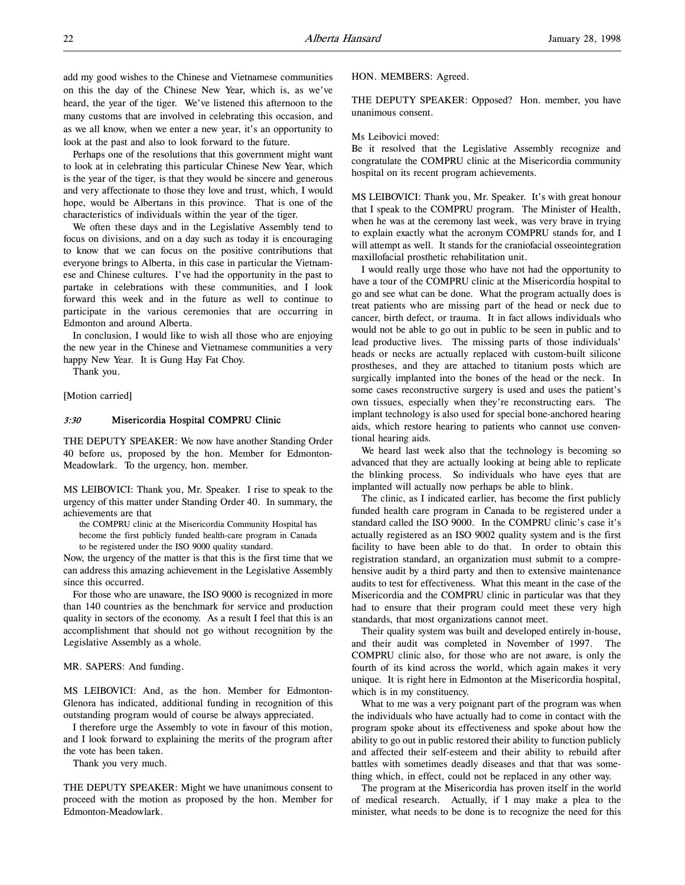Perhaps one of the resolutions that this government might want to look at in celebrating this particular Chinese New Year, which is the year of the tiger, is that they would be sincere and generous and very affectionate to those they love and trust, which, I would hope, would be Albertans in this province. That is one of the characteristics of individuals within the year of the tiger.

We often these days and in the Legislative Assembly tend to focus on divisions, and on a day such as today it is encouraging to know that we can focus on the positive contributions that everyone brings to Alberta, in this case in particular the Vietnamese and Chinese cultures. I've had the opportunity in the past to partake in celebrations with these communities, and I look forward this week and in the future as well to continue to participate in the various ceremonies that are occurring in Edmonton and around Alberta.

In conclusion, I would like to wish all those who are enjoying the new year in the Chinese and Vietnamese communities a very happy New Year. It is Gung Hay Fat Choy.

Thank you.

[Motion carried]

# 3:30 Misericordia Hospital COMPRU Clinic

THE DEPUTY SPEAKER: We now have another Standing Order 40 before us, proposed by the hon. Member for Edmonton-Meadowlark. To the urgency, hon. member.

MS LEIBOVICI: Thank you, Mr. Speaker. I rise to speak to the urgency of this matter under Standing Order 40. In summary, the achievements are that

the COMPRU clinic at the Misericordia Community Hospital has become the first publicly funded health-care program in Canada to be registered under the ISO 9000 quality standard.

Now, the urgency of the matter is that this is the first time that we can address this amazing achievement in the Legislative Assembly since this occurred.

For those who are unaware, the ISO 9000 is recognized in more than 140 countries as the benchmark for service and production quality in sectors of the economy. As a result I feel that this is an accomplishment that should not go without recognition by the Legislative Assembly as a whole.

MR. SAPERS: And funding.

MS LEIBOVICI: And, as the hon. Member for Edmonton-Glenora has indicated, additional funding in recognition of this outstanding program would of course be always appreciated.

I therefore urge the Assembly to vote in favour of this motion, and I look forward to explaining the merits of the program after the vote has been taken.

Thank you very much.

THE DEPUTY SPEAKER: Might we have unanimous consent to proceed with the motion as proposed by the hon. Member for Edmonton-Meadowlark.

### HON. MEMBERS: Agreed.

THE DEPUTY SPEAKER: Opposed? Hon. member, you have unanimous consent.

## Ms Leibovici moved:

Be it resolved that the Legislative Assembly recognize and congratulate the COMPRU clinic at the Misericordia community hospital on its recent program achievements.

MS LEIBOVICI: Thank you, Mr. Speaker. It's with great honour that I speak to the COMPRU program. The Minister of Health, when he was at the ceremony last week, was very brave in trying to explain exactly what the acronym COMPRU stands for, and I will attempt as well. It stands for the craniofacial osseointegration maxillofacial prosthetic rehabilitation unit.

I would really urge those who have not had the opportunity to have a tour of the COMPRU clinic at the Misericordia hospital to go and see what can be done. What the program actually does is treat patients who are missing part of the head or neck due to cancer, birth defect, or trauma. It in fact allows individuals who would not be able to go out in public to be seen in public and to lead productive lives. The missing parts of those individuals' heads or necks are actually replaced with custom-built silicone prostheses, and they are attached to titanium posts which are surgically implanted into the bones of the head or the neck. In some cases reconstructive surgery is used and uses the patient's own tissues, especially when they're reconstructing ears. The implant technology is also used for special bone-anchored hearing aids, which restore hearing to patients who cannot use conventional hearing aids.

We heard last week also that the technology is becoming so advanced that they are actually looking at being able to replicate the blinking process. So individuals who have eyes that are implanted will actually now perhaps be able to blink.

The clinic, as I indicated earlier, has become the first publicly funded health care program in Canada to be registered under a standard called the ISO 9000. In the COMPRU clinic's case it's actually registered as an ISO 9002 quality system and is the first facility to have been able to do that. In order to obtain this registration standard, an organization must submit to a comprehensive audit by a third party and then to extensive maintenance audits to test for effectiveness. What this meant in the case of the Misericordia and the COMPRU clinic in particular was that they had to ensure that their program could meet these very high standards, that most organizations cannot meet.

Their quality system was built and developed entirely in-house, and their audit was completed in November of 1997. The COMPRU clinic also, for those who are not aware, is only the fourth of its kind across the world, which again makes it very unique. It is right here in Edmonton at the Misericordia hospital, which is in my constituency.

What to me was a very poignant part of the program was when the individuals who have actually had to come in contact with the program spoke about its effectiveness and spoke about how the ability to go out in public restored their ability to function publicly and affected their self-esteem and their ability to rebuild after battles with sometimes deadly diseases and that that was something which, in effect, could not be replaced in any other way.

The program at the Misericordia has proven itself in the world of medical research. Actually, if I may make a plea to the minister, what needs to be done is to recognize the need for this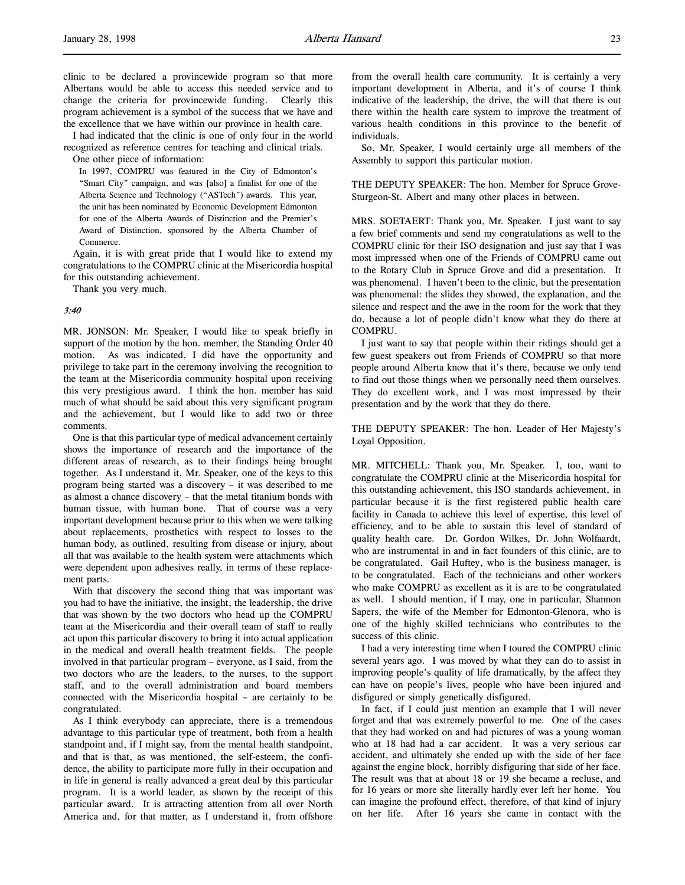clinic to be declared a provincewide program so that more Albertans would be able to access this needed service and to change the criteria for provincewide funding. Clearly this program achievement is a symbol of the success that we have and the excellence that we have within our province in health care.

I had indicated that the clinic is one of only four in the world recognized as reference centres for teaching and clinical trials.

One other piece of information:

In 1997, COMPRU was featured in the City of Edmonton's "Smart City" campaign, and was [also] a finalist for one of the Alberta Science and Technology ("ASTech") awards. This year, the unit has been nominated by Economic Development Edmonton for one of the Alberta Awards of Distinction and the Premier's Award of Distinction, sponsored by the Alberta Chamber of Commerce.

Again, it is with great pride that I would like to extend my congratulations to the COMPRU clinic at the Misericordia hospital for this outstanding achievement.

Thank you very much.

#### 3:40

MR. JONSON: Mr. Speaker, I would like to speak briefly in support of the motion by the hon. member, the Standing Order 40 motion. As was indicated, I did have the opportunity and privilege to take part in the ceremony involving the recognition to the team at the Misericordia community hospital upon receiving this very prestigious award. I think the hon. member has said much of what should be said about this very significant program and the achievement, but I would like to add two or three comments.

One is that this particular type of medical advancement certainly shows the importance of research and the importance of the different areas of research, as to their findings being brought together. As I understand it, Mr. Speaker, one of the keys to this program being started was a discovery – it was described to me as almost a chance discovery – that the metal titanium bonds with human tissue, with human bone. That of course was a very important development because prior to this when we were talking about replacements, prosthetics with respect to losses to the human body, as outlined, resulting from disease or injury, about all that was available to the health system were attachments which were dependent upon adhesives really, in terms of these replacement parts.

With that discovery the second thing that was important was you had to have the initiative, the insight, the leadership, the drive that was shown by the two doctors who head up the COMPRU team at the Misericordia and their overall team of staff to really act upon this particular discovery to bring it into actual application in the medical and overall health treatment fields. The people involved in that particular program – everyone, as I said, from the two doctors who are the leaders, to the nurses, to the support staff, and to the overall administration and board members connected with the Misericordia hospital – are certainly to be congratulated.

As I think everybody can appreciate, there is a tremendous advantage to this particular type of treatment, both from a health standpoint and, if I might say, from the mental health standpoint, and that is that, as was mentioned, the self-esteem, the confidence, the ability to participate more fully in their occupation and in life in general is really advanced a great deal by this particular program. It is a world leader, as shown by the receipt of this particular award. It is attracting attention from all over North America and, for that matter, as I understand it, from offshore

from the overall health care community. It is certainly a very important development in Alberta, and it's of course I think indicative of the leadership, the drive, the will that there is out there within the health care system to improve the treatment of various health conditions in this province to the benefit of individuals.

So, Mr. Speaker, I would certainly urge all members of the Assembly to support this particular motion.

THE DEPUTY SPEAKER: The hon. Member for Spruce Grove-Sturgeon-St. Albert and many other places in between.

MRS. SOETAERT: Thank you, Mr. Speaker. I just want to say a few brief comments and send my congratulations as well to the COMPRU clinic for their ISO designation and just say that I was most impressed when one of the Friends of COMPRU came out to the Rotary Club in Spruce Grove and did a presentation. It was phenomenal. I haven't been to the clinic, but the presentation was phenomenal: the slides they showed, the explanation, and the silence and respect and the awe in the room for the work that they do, because a lot of people didn't know what they do there at COMPRU.

I just want to say that people within their ridings should get a few guest speakers out from Friends of COMPRU so that more people around Alberta know that it's there, because we only tend to find out those things when we personally need them ourselves. They do excellent work, and I was most impressed by their presentation and by the work that they do there.

THE DEPUTY SPEAKER: The hon. Leader of Her Majesty's Loyal Opposition.

MR. MITCHELL: Thank you, Mr. Speaker. I, too, want to congratulate the COMPRU clinic at the Misericordia hospital for this outstanding achievement, this ISO standards achievement, in particular because it is the first registered public health care facility in Canada to achieve this level of expertise, this level of efficiency, and to be able to sustain this level of standard of quality health care. Dr. Gordon Wilkes, Dr. John Wolfaardt, who are instrumental in and in fact founders of this clinic, are to be congratulated. Gail Huftey, who is the business manager, is to be congratulated. Each of the technicians and other workers who make COMPRU as excellent as it is are to be congratulated as well. I should mention, if I may, one in particular, Shannon Sapers, the wife of the Member for Edmonton-Glenora, who is one of the highly skilled technicians who contributes to the success of this clinic.

I had a very interesting time when I toured the COMPRU clinic several years ago. I was moved by what they can do to assist in improving people's quality of life dramatically, by the affect they can have on people's lives, people who have been injured and disfigured or simply genetically disfigured.

In fact, if I could just mention an example that I will never forget and that was extremely powerful to me. One of the cases that they had worked on and had pictures of was a young woman who at 18 had had a car accident. It was a very serious car accident, and ultimately she ended up with the side of her face against the engine block, horribly disfiguring that side of her face. The result was that at about 18 or 19 she became a recluse, and for 16 years or more she literally hardly ever left her home. You can imagine the profound effect, therefore, of that kind of injury on her life. After 16 years she came in contact with the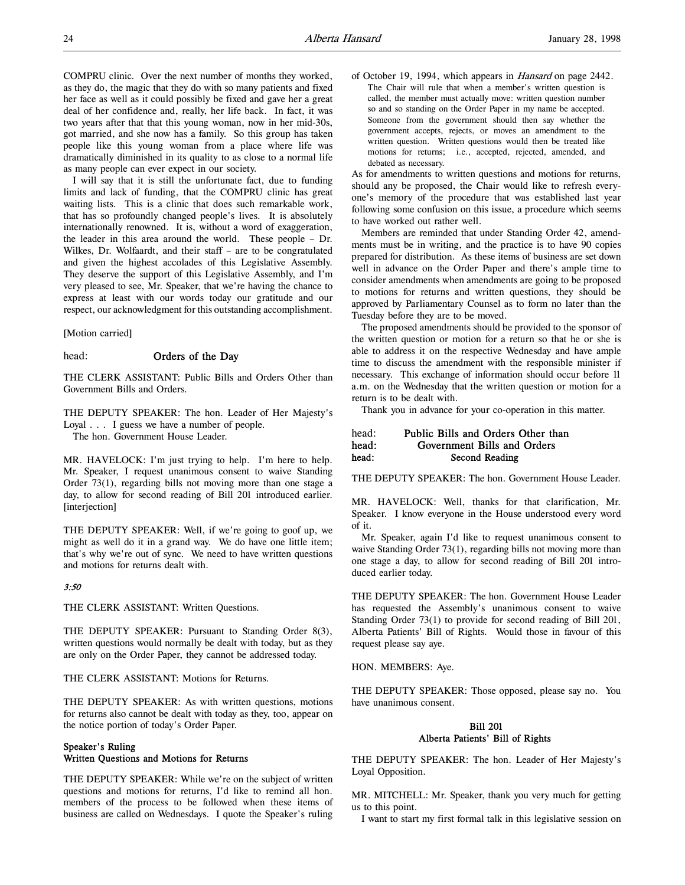I will say that it is still the unfortunate fact, due to funding limits and lack of funding, that the COMPRU clinic has great waiting lists. This is a clinic that does such remarkable work, that has so profoundly changed people's lives. It is absolutely internationally renowned. It is, without a word of exaggeration, the leader in this area around the world. These people – Dr. Wilkes, Dr. Wolfaardt, and their staff – are to be congratulated and given the highest accolades of this Legislative Assembly. They deserve the support of this Legislative Assembly, and I'm very pleased to see, Mr. Speaker, that we're having the chance to express at least with our words today our gratitude and our respect, our acknowledgment for this outstanding accomplishment.

[Motion carried]

# head: Orders of the Day

THE CLERK ASSISTANT: Public Bills and Orders Other than Government Bills and Orders.

THE DEPUTY SPEAKER: The hon. Leader of Her Majesty's Loyal . . . I guess we have a number of people.

The hon. Government House Leader.

MR. HAVELOCK: I'm just trying to help. I'm here to help. Mr. Speaker, I request unanimous consent to waive Standing Order 73(1), regarding bills not moving more than one stage a day, to allow for second reading of Bill 201 introduced earlier. [interjection]

THE DEPUTY SPEAKER: Well, if we're going to goof up, we might as well do it in a grand way. We do have one little item; that's why we're out of sync. We need to have written questions and motions for returns dealt with.

# 3:50

THE CLERK ASSISTANT: Written Questions.

THE DEPUTY SPEAKER: Pursuant to Standing Order 8(3), written questions would normally be dealt with today, but as they are only on the Order Paper, they cannot be addressed today.

THE CLERK ASSISTANT: Motions for Returns.

THE DEPUTY SPEAKER: As with written questions, motions for returns also cannot be dealt with today as they, too, appear on the notice portion of today's Order Paper.

# Speaker's Ruling Written Questions and Motions for Returns

THE DEPUTY SPEAKER: While we're on the subject of written questions and motions for returns, I'd like to remind all hon. members of the process to be followed when these items of business are called on Wednesdays. I quote the Speaker's ruling

of October 19, 1994, which appears in Hansard on page 2442. The Chair will rule that when a member's written question is called, the member must actually move: written question number so and so standing on the Order Paper in my name be accepted. Someone from the government should then say whether the government accepts, rejects, or moves an amendment to the written question. Written questions would then be treated like motions for returns; i.e., accepted, rejected, amended, and debated as necessary.

As for amendments to written questions and motions for returns, should any be proposed, the Chair would like to refresh everyone's memory of the procedure that was established last year following some confusion on this issue, a procedure which seems to have worked out rather well.

Members are reminded that under Standing Order 42, amendments must be in writing, and the practice is to have 90 copies prepared for distribution. As these items of business are set down well in advance on the Order Paper and there's ample time to consider amendments when amendments are going to be proposed to motions for returns and written questions, they should be approved by Parliamentary Counsel as to form no later than the Tuesday before they are to be moved.

The proposed amendments should be provided to the sponsor of the written question or motion for a return so that he or she is able to address it on the respective Wednesday and have ample time to discuss the amendment with the responsible minister if necessary. This exchange of information should occur before 11 a.m. on the Wednesday that the written question or motion for a return is to be dealt with.

Thank you in advance for your co-operation in this matter.

# head: Public Bills and Orders Other than head: Government Bills and Orders head: Second Reading

THE DEPUTY SPEAKER: The hon. Government House Leader.

MR. HAVELOCK: Well, thanks for that clarification, Mr. Speaker. I know everyone in the House understood every word of it.

Mr. Speaker, again I'd like to request unanimous consent to waive Standing Order 73(1), regarding bills not moving more than one stage a day, to allow for second reading of Bill 201 introduced earlier today.

THE DEPUTY SPEAKER: The hon. Government House Leader has requested the Assembly's unanimous consent to waive Standing Order 73(1) to provide for second reading of Bill 201, Alberta Patients' Bill of Rights. Would those in favour of this request please say aye.

HON. MEMBERS: Aye.

THE DEPUTY SPEAKER: Those opposed, please say no. You have unanimous consent.

# Bill 201 Alberta Patients' Bill of Rights

THE DEPUTY SPEAKER: The hon. Leader of Her Majesty's Loyal Opposition.

MR. MITCHELL: Mr. Speaker, thank you very much for getting us to this point.

I want to start my first formal talk in this legislative session on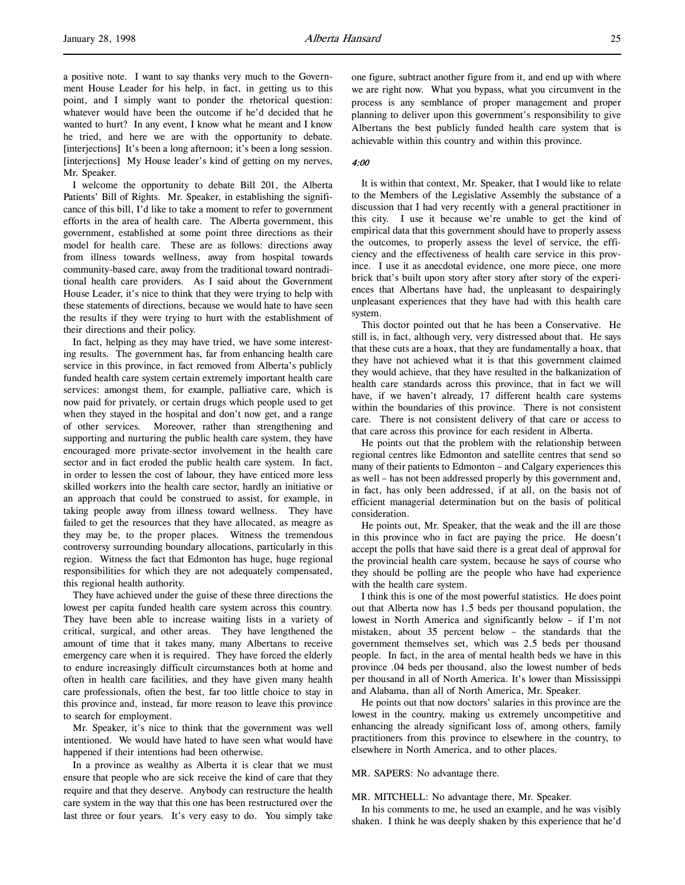a positive note. I want to say thanks very much to the Government House Leader for his help, in fact, in getting us to this point, and I simply want to ponder the rhetorical question: whatever would have been the outcome if he'd decided that he wanted to hurt? In any event, I know what he meant and I know he tried, and here we are with the opportunity to debate. [interjections] It's been a long afternoon; it's been a long session. [interjections] My House leader's kind of getting on my nerves, Mr. Speaker.

I welcome the opportunity to debate Bill 201, the Alberta Patients' Bill of Rights. Mr. Speaker, in establishing the significance of this bill, I'd like to take a moment to refer to government efforts in the area of health care. The Alberta government, this government, established at some point three directions as their model for health care. These are as follows: directions away from illness towards wellness, away from hospital towards community-based care, away from the traditional toward nontraditional health care providers. As I said about the Government House Leader, it's nice to think that they were trying to help with these statements of directions, because we would hate to have seen the results if they were trying to hurt with the establishment of their directions and their policy.

In fact, helping as they may have tried, we have some interesting results. The government has, far from enhancing health care service in this province, in fact removed from Alberta's publicly funded health care system certain extremely important health care services: amongst them, for example, palliative care, which is now paid for privately, or certain drugs which people used to get when they stayed in the hospital and don't now get, and a range of other services. Moreover, rather than strengthening and supporting and nurturing the public health care system, they have encouraged more private-sector involvement in the health care sector and in fact eroded the public health care system. In fact, in order to lessen the cost of labour, they have enticed more less skilled workers into the health care sector, hardly an initiative or an approach that could be construed to assist, for example, in taking people away from illness toward wellness. They have failed to get the resources that they have allocated, as meagre as they may be, to the proper places. Witness the tremendous controversy surrounding boundary allocations, particularly in this region. Witness the fact that Edmonton has huge, huge regional responsibilities for which they are not adequately compensated, this regional health authority.

They have achieved under the guise of these three directions the lowest per capita funded health care system across this country. They have been able to increase waiting lists in a variety of critical, surgical, and other areas. They have lengthened the amount of time that it takes many, many Albertans to receive emergency care when it is required. They have forced the elderly to endure increasingly difficult circumstances both at home and often in health care facilities, and they have given many health care professionals, often the best, far too little choice to stay in this province and, instead, far more reason to leave this province to search for employment.

Mr. Speaker, it's nice to think that the government was well intentioned. We would have hated to have seen what would have happened if their intentions had been otherwise.

In a province as wealthy as Alberta it is clear that we must ensure that people who are sick receive the kind of care that they require and that they deserve. Anybody can restructure the health care system in the way that this one has been restructured over the last three or four years. It's very easy to do. You simply take

one figure, subtract another figure from it, and end up with where we are right now. What you bypass, what you circumvent in the process is any semblance of proper management and proper planning to deliver upon this government's responsibility to give Albertans the best publicly funded health care system that is achievable within this country and within this province.

#### 4:00

It is within that context, Mr. Speaker, that I would like to relate to the Members of the Legislative Assembly the substance of a discussion that I had very recently with a general practitioner in this city. I use it because we're unable to get the kind of empirical data that this government should have to properly assess the outcomes, to properly assess the level of service, the efficiency and the effectiveness of health care service in this province. I use it as anecdotal evidence, one more piece, one more brick that's built upon story after story after story of the experiences that Albertans have had, the unpleasant to despairingly unpleasant experiences that they have had with this health care system.

This doctor pointed out that he has been a Conservative. He still is, in fact, although very, very distressed about that. He says that these cuts are a hoax, that they are fundamentally a hoax, that they have not achieved what it is that this government claimed they would achieve, that they have resulted in the balkanization of health care standards across this province, that in fact we will have, if we haven't already, 17 different health care systems within the boundaries of this province. There is not consistent care. There is not consistent delivery of that care or access to that care across this province for each resident in Alberta.

He points out that the problem with the relationship between regional centres like Edmonton and satellite centres that send so many of their patients to Edmonton – and Calgary experiences this as well – has not been addressed properly by this government and, in fact, has only been addressed, if at all, on the basis not of efficient managerial determination but on the basis of political consideration.

He points out, Mr. Speaker, that the weak and the ill are those in this province who in fact are paying the price. He doesn't accept the polls that have said there is a great deal of approval for the provincial health care system, because he says of course who they should be polling are the people who have had experience with the health care system.

I think this is one of the most powerful statistics. He does point out that Alberta now has 1.5 beds per thousand population, the lowest in North America and significantly below – if I'm not mistaken, about 35 percent below – the standards that the government themselves set, which was 2.5 beds per thousand people. In fact, in the area of mental health beds we have in this province .04 beds per thousand, also the lowest number of beds per thousand in all of North America. It's lower than Mississippi and Alabama, than all of North America, Mr. Speaker.

He points out that now doctors' salaries in this province are the lowest in the country, making us extremely uncompetitive and enhancing the already significant loss of, among others, family practitioners from this province to elsewhere in the country, to elsewhere in North America, and to other places.

# MR. SAPERS: No advantage there.

#### MR. MITCHELL: No advantage there, Mr. Speaker.

In his comments to me, he used an example, and he was visibly shaken. I think he was deeply shaken by this experience that he'd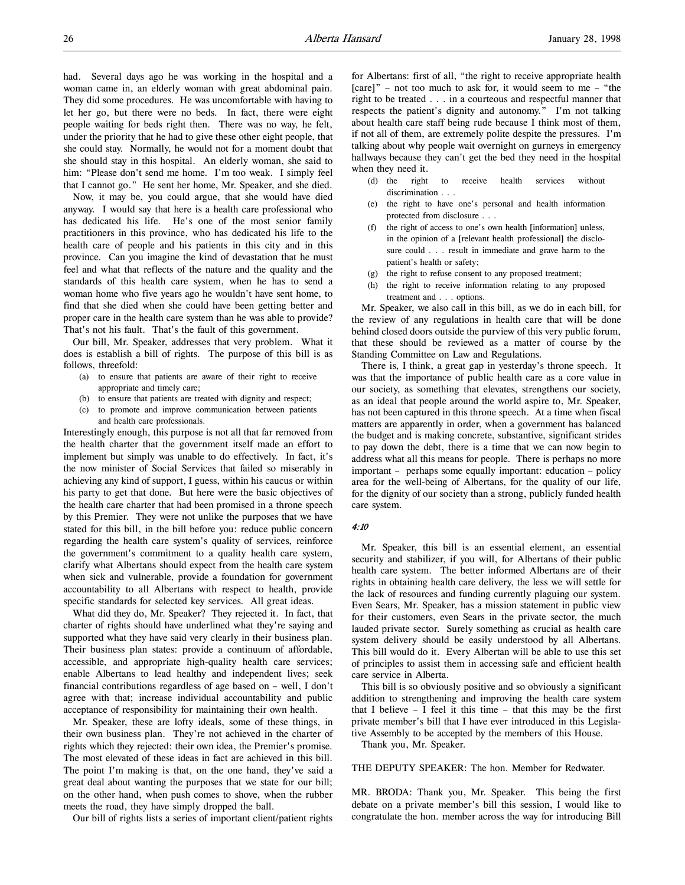had. Several days ago he was working in the hospital and a woman came in, an elderly woman with great abdominal pain. They did some procedures. He was uncomfortable with having to let her go, but there were no beds. In fact, there were eight people waiting for beds right then. There was no way, he felt, under the priority that he had to give these other eight people, that she could stay. Normally, he would not for a moment doubt that she should stay in this hospital. An elderly woman, she said to him: "Please don't send me home. I'm too weak. I simply feel that I cannot go." He sent her home, Mr. Speaker, and she died.

Now, it may be, you could argue, that she would have died anyway. I would say that here is a health care professional who has dedicated his life. He's one of the most senior family practitioners in this province, who has dedicated his life to the health care of people and his patients in this city and in this province. Can you imagine the kind of devastation that he must feel and what that reflects of the nature and the quality and the standards of this health care system, when he has to send a woman home who five years ago he wouldn't have sent home, to find that she died when she could have been getting better and proper care in the health care system than he was able to provide? That's not his fault. That's the fault of this government.

Our bill, Mr. Speaker, addresses that very problem. What it does is establish a bill of rights. The purpose of this bill is as follows, threefold:

- (a) to ensure that patients are aware of their right to receive appropriate and timely care;
- (b) to ensure that patients are treated with dignity and respect;
- (c) to promote and improve communication between patients and health care professionals.

Interestingly enough, this purpose is not all that far removed from the health charter that the government itself made an effort to implement but simply was unable to do effectively. In fact, it's the now minister of Social Services that failed so miserably in achieving any kind of support, I guess, within his caucus or within his party to get that done. But here were the basic objectives of the health care charter that had been promised in a throne speech by this Premier. They were not unlike the purposes that we have stated for this bill, in the bill before you: reduce public concern regarding the health care system's quality of services, reinforce the government's commitment to a quality health care system, clarify what Albertans should expect from the health care system when sick and vulnerable, provide a foundation for government accountability to all Albertans with respect to health, provide specific standards for selected key services. All great ideas.

What did they do, Mr. Speaker? They rejected it. In fact, that charter of rights should have underlined what they're saying and supported what they have said very clearly in their business plan. Their business plan states: provide a continuum of affordable, accessible, and appropriate high-quality health care services; enable Albertans to lead healthy and independent lives; seek financial contributions regardless of age based on – well, I don't agree with that; increase individual accountability and public acceptance of responsibility for maintaining their own health.

Mr. Speaker, these are lofty ideals, some of these things, in their own business plan. They're not achieved in the charter of rights which they rejected: their own idea, the Premier's promise. The most elevated of these ideas in fact are achieved in this bill. The point I'm making is that, on the one hand, they've said a great deal about wanting the purposes that we state for our bill; on the other hand, when push comes to shove, when the rubber meets the road, they have simply dropped the ball.

Our bill of rights lists a series of important client/patient rights

for Albertans: first of all, "the right to receive appropriate health [care]" – not too much to ask for, it would seem to me – "the right to be treated . . . in a courteous and respectful manner that respects the patient's dignity and autonomy." I'm not talking about health care staff being rude because I think most of them, if not all of them, are extremely polite despite the pressures. I'm talking about why people wait overnight on gurneys in emergency hallways because they can't get the bed they need in the hospital when they need it.

- (d) the right to receive health services without discrimination . . .
- (e) the right to have one's personal and health information protected from disclosure . . .
- (f) the right of access to one's own health [information] unless, in the opinion of a [relevant health professional] the disclosure could . . . result in immediate and grave harm to the patient's health or safety;
- (g) the right to refuse consent to any proposed treatment;
- (h) the right to receive information relating to any proposed treatment and . . . options.

Mr. Speaker, we also call in this bill, as we do in each bill, for the review of any regulations in health care that will be done behind closed doors outside the purview of this very public forum, that these should be reviewed as a matter of course by the Standing Committee on Law and Regulations.

There is, I think, a great gap in yesterday's throne speech. It was that the importance of public health care as a core value in our society, as something that elevates, strengthens our society, as an ideal that people around the world aspire to, Mr. Speaker, has not been captured in this throne speech. At a time when fiscal matters are apparently in order, when a government has balanced the budget and is making concrete, substantive, significant strides to pay down the debt, there is a time that we can now begin to address what all this means for people. There is perhaps no more important – perhaps some equally important: education – policy area for the well-being of Albertans, for the quality of our life, for the dignity of our society than a strong, publicly funded health care system.

# 4:10

Mr. Speaker, this bill is an essential element, an essential security and stabilizer, if you will, for Albertans of their public health care system. The better informed Albertans are of their rights in obtaining health care delivery, the less we will settle for the lack of resources and funding currently plaguing our system. Even Sears, Mr. Speaker, has a mission statement in public view for their customers, even Sears in the private sector, the much lauded private sector. Surely something as crucial as health care system delivery should be easily understood by all Albertans. This bill would do it. Every Albertan will be able to use this set of principles to assist them in accessing safe and efficient health care service in Alberta.

This bill is so obviously positive and so obviously a significant addition to strengthening and improving the health care system that I believe  $-$  I feel it this time  $-$  that this may be the first private member's bill that I have ever introduced in this Legislative Assembly to be accepted by the members of this House.

Thank you, Mr. Speaker.

THE DEPUTY SPEAKER: The hon. Member for Redwater.

MR. BRODA: Thank you, Mr. Speaker. This being the first debate on a private member's bill this session, I would like to congratulate the hon. member across the way for introducing Bill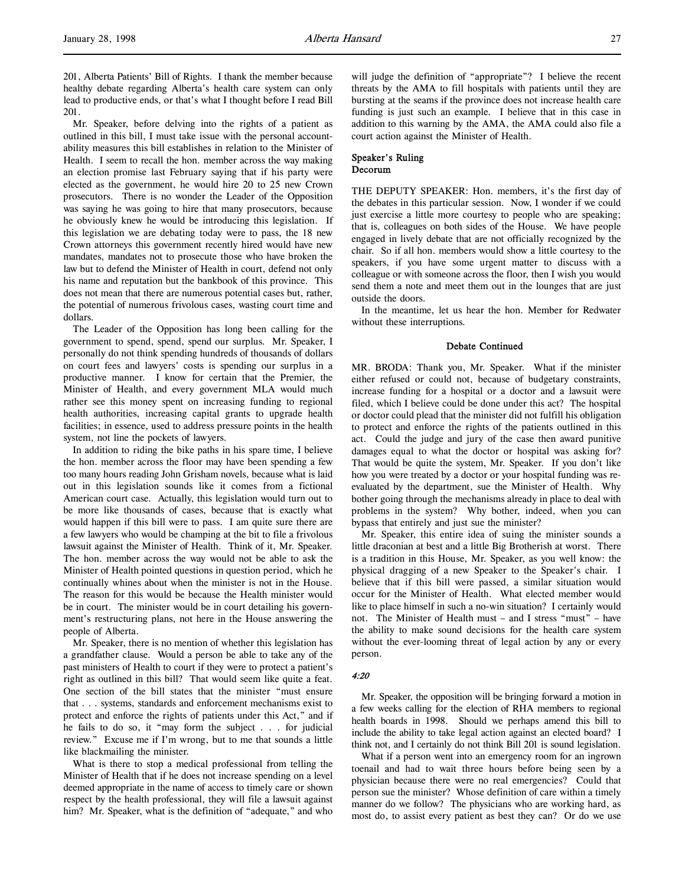201, Alberta Patients' Bill of Rights. I thank the member because healthy debate regarding Alberta's health care system can only lead to productive ends, or that's what I thought before I read Bill 201.

Mr. Speaker, before delving into the rights of a patient as outlined in this bill, I must take issue with the personal accountability measures this bill establishes in relation to the Minister of Health. I seem to recall the hon. member across the way making an election promise last February saying that if his party were elected as the government, he would hire 20 to 25 new Crown prosecutors. There is no wonder the Leader of the Opposition was saying he was going to hire that many prosecutors, because he obviously knew he would be introducing this legislation. If this legislation we are debating today were to pass, the 18 new Crown attorneys this government recently hired would have new mandates, mandates not to prosecute those who have broken the law but to defend the Minister of Health in court, defend not only his name and reputation but the bankbook of this province. This does not mean that there are numerous potential cases but, rather, the potential of numerous frivolous cases, wasting court time and dollars.

The Leader of the Opposition has long been calling for the government to spend, spend, spend our surplus. Mr. Speaker, I personally do not think spending hundreds of thousands of dollars on court fees and lawyers' costs is spending our surplus in a productive manner. I know for certain that the Premier, the Minister of Health, and every government MLA would much rather see this money spent on increasing funding to regional health authorities, increasing capital grants to upgrade health facilities; in essence, used to address pressure points in the health system, not line the pockets of lawyers.

In addition to riding the bike paths in his spare time, I believe the hon. member across the floor may have been spending a few too many hours reading John Grisham novels, because what is laid out in this legislation sounds like it comes from a fictional American court case. Actually, this legislation would turn out to be more like thousands of cases, because that is exactly what would happen if this bill were to pass. I am quite sure there are a few lawyers who would be champing at the bit to file a frivolous lawsuit against the Minister of Health. Think of it, Mr. Speaker. The hon. member across the way would not be able to ask the Minister of Health pointed questions in question period, which he continually whines about when the minister is not in the House. The reason for this would be because the Health minister would be in court. The minister would be in court detailing his government's restructuring plans, not here in the House answering the people of Alberta.

Mr. Speaker, there is no mention of whether this legislation has a grandfather clause. Would a person be able to take any of the past ministers of Health to court if they were to protect a patient's right as outlined in this bill? That would seem like quite a feat. One section of the bill states that the minister "must ensure that . . . systems, standards and enforcement mechanisms exist to protect and enforce the rights of patients under this Act," and if he fails to do so, it "may form the subject . . . for judicial review." Excuse me if I'm wrong, but to me that sounds a little like blackmailing the minister.

What is there to stop a medical professional from telling the Minister of Health that if he does not increase spending on a level deemed appropriate in the name of access to timely care or shown respect by the health professional, they will file a lawsuit against him? Mr. Speaker, what is the definition of "adequate," and who

will judge the definition of "appropriate"? I believe the recent threats by the AMA to fill hospitals with patients until they are bursting at the seams if the province does not increase health care funding is just such an example. I believe that in this case in addition to this warning by the AMA, the AMA could also file a court action against the Minister of Health.

### Speaker's Ruling Decorum

THE DEPUTY SPEAKER: Hon. members, it's the first day of the debates in this particular session. Now, I wonder if we could just exercise a little more courtesy to people who are speaking; that is, colleagues on both sides of the House. We have people engaged in lively debate that are not officially recognized by the chair. So if all hon. members would show a little courtesy to the speakers, if you have some urgent matter to discuss with a colleague or with someone across the floor, then I wish you would send them a note and meet them out in the lounges that are just outside the doors.

In the meantime, let us hear the hon. Member for Redwater without these interruptions.

#### Debate Continued

MR. BRODA: Thank you, Mr. Speaker. What if the minister either refused or could not, because of budgetary constraints, increase funding for a hospital or a doctor and a lawsuit were filed, which I believe could be done under this act? The hospital or doctor could plead that the minister did not fulfill his obligation to protect and enforce the rights of the patients outlined in this act. Could the judge and jury of the case then award punitive damages equal to what the doctor or hospital was asking for? That would be quite the system, Mr. Speaker. If you don't like how you were treated by a doctor or your hospital funding was reevaluated by the department, sue the Minister of Health. Why bother going through the mechanisms already in place to deal with problems in the system? Why bother, indeed, when you can bypass that entirely and just sue the minister?

Mr. Speaker, this entire idea of suing the minister sounds a little draconian at best and a little Big Brotherish at worst. There is a tradition in this House, Mr. Speaker, as you well know: the physical dragging of a new Speaker to the Speaker's chair. I believe that if this bill were passed, a similar situation would occur for the Minister of Health. What elected member would like to place himself in such a no-win situation? I certainly would not. The Minister of Health must – and I stress "must" – have the ability to make sound decisions for the health care system without the ever-looming threat of legal action by any or every person.

#### 4:20

Mr. Speaker, the opposition will be bringing forward a motion in a few weeks calling for the election of RHA members to regional health boards in 1998. Should we perhaps amend this bill to include the ability to take legal action against an elected board? I think not, and I certainly do not think Bill 201 is sound legislation.

What if a person went into an emergency room for an ingrown toenail and had to wait three hours before being seen by a physician because there were no real emergencies? Could that person sue the minister? Whose definition of care within a timely manner do we follow? The physicians who are working hard, as most do, to assist every patient as best they can? Or do we use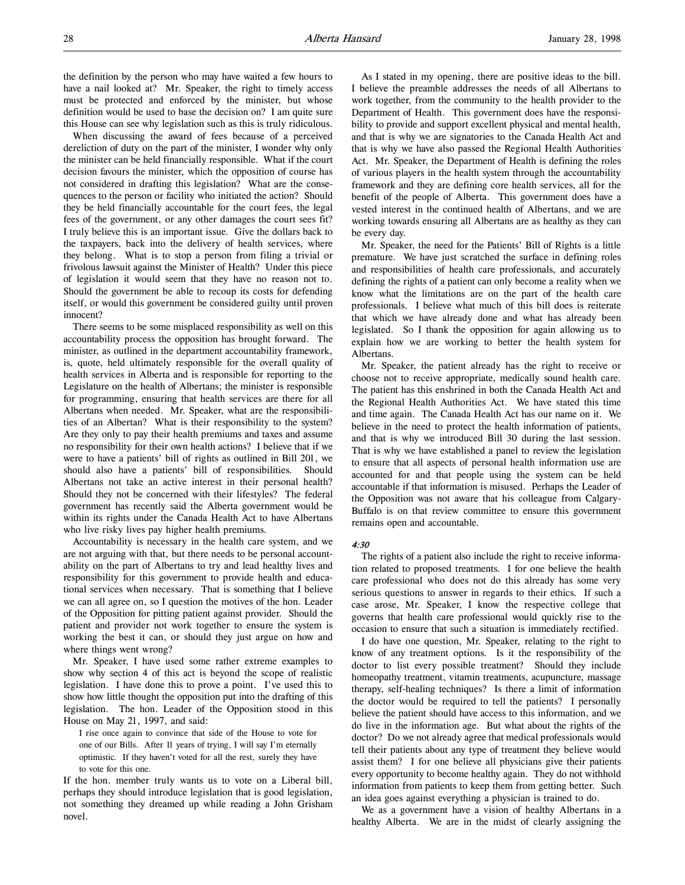When discussing the award of fees because of a perceived dereliction of duty on the part of the minister, I wonder why only the minister can be held financially responsible. What if the court decision favours the minister, which the opposition of course has not considered in drafting this legislation? What are the consequences to the person or facility who initiated the action? Should they be held financially accountable for the court fees, the legal fees of the government, or any other damages the court sees fit? I truly believe this is an important issue. Give the dollars back to the taxpayers, back into the delivery of health services, where they belong. What is to stop a person from filing a trivial or frivolous lawsuit against the Minister of Health? Under this piece of legislation it would seem that they have no reason not to. Should the government be able to recoup its costs for defending itself, or would this government be considered guilty until proven innocent?

There seems to be some misplaced responsibility as well on this accountability process the opposition has brought forward. The minister, as outlined in the department accountability framework, is, quote, held ultimately responsible for the overall quality of health services in Alberta and is responsible for reporting to the Legislature on the health of Albertans; the minister is responsible for programming, ensuring that health services are there for all Albertans when needed. Mr. Speaker, what are the responsibilities of an Albertan? What is their responsibility to the system? Are they only to pay their health premiums and taxes and assume no responsibility for their own health actions? I believe that if we were to have a patients' bill of rights as outlined in Bill 201, we should also have a patients' bill of responsibilities. Should Albertans not take an active interest in their personal health? Should they not be concerned with their lifestyles? The federal government has recently said the Alberta government would be within its rights under the Canada Health Act to have Albertans who live risky lives pay higher health premiums.

Accountability is necessary in the health care system, and we are not arguing with that, but there needs to be personal accountability on the part of Albertans to try and lead healthy lives and responsibility for this government to provide health and educational services when necessary. That is something that I believe we can all agree on, so I question the motives of the hon. Leader of the Opposition for pitting patient against provider. Should the patient and provider not work together to ensure the system is working the best it can, or should they just argue on how and where things went wrong?

Mr. Speaker, I have used some rather extreme examples to show why section 4 of this act is beyond the scope of realistic legislation. I have done this to prove a point. I've used this to show how little thought the opposition put into the drafting of this legislation. The hon. Leader of the Opposition stood in this House on May 21, 1997, and said:

I rise once again to convince that side of the House to vote for one of our Bills. After 11 years of trying, I will say I'm eternally optimistic. If they haven't voted for all the rest, surely they have to vote for this one.

If the hon. member truly wants us to vote on a Liberal bill, perhaps they should introduce legislation that is good legislation, not something they dreamed up while reading a John Grisham novel.

As I stated in my opening, there are positive ideas to the bill. I believe the preamble addresses the needs of all Albertans to work together, from the community to the health provider to the Department of Health. This government does have the responsibility to provide and support excellent physical and mental health, and that is why we are signatories to the Canada Health Act and that is why we have also passed the Regional Health Authorities Act. Mr. Speaker, the Department of Health is defining the roles of various players in the health system through the accountability framework and they are defining core health services, all for the benefit of the people of Alberta. This government does have a vested interest in the continued health of Albertans, and we are working towards ensuring all Albertans are as healthy as they can be every day.

Mr. Speaker, the need for the Patients' Bill of Rights is a little premature. We have just scratched the surface in defining roles and responsibilities of health care professionals, and accurately defining the rights of a patient can only become a reality when we know what the limitations are on the part of the health care professionals. I believe what much of this bill does is reiterate that which we have already done and what has already been legislated. So I thank the opposition for again allowing us to explain how we are working to better the health system for Albertans.

Mr. Speaker, the patient already has the right to receive or choose not to receive appropriate, medically sound health care. The patient has this enshrined in both the Canada Health Act and the Regional Health Authorities Act. We have stated this time and time again. The Canada Health Act has our name on it. We believe in the need to protect the health information of patients, and that is why we introduced Bill 30 during the last session. That is why we have established a panel to review the legislation to ensure that all aspects of personal health information use are accounted for and that people using the system can be held accountable if that information is misused. Perhaps the Leader of the Opposition was not aware that his colleague from Calgary-Buffalo is on that review committee to ensure this government remains open and accountable.

#### 4:30

The rights of a patient also include the right to receive information related to proposed treatments. I for one believe the health care professional who does not do this already has some very serious questions to answer in regards to their ethics. If such a case arose, Mr. Speaker, I know the respective college that governs that health care professional would quickly rise to the occasion to ensure that such a situation is immediately rectified.

I do have one question, Mr. Speaker, relating to the right to know of any treatment options. Is it the responsibility of the doctor to list every possible treatment? Should they include homeopathy treatment, vitamin treatments, acupuncture, massage therapy, self-healing techniques? Is there a limit of information the doctor would be required to tell the patients? I personally believe the patient should have access to this information, and we do live in the information age. But what about the rights of the doctor? Do we not already agree that medical professionals would tell their patients about any type of treatment they believe would assist them? I for one believe all physicians give their patients every opportunity to become healthy again. They do not withhold information from patients to keep them from getting better. Such an idea goes against everything a physician is trained to do.

We as a government have a vision of healthy Albertans in a healthy Alberta. We are in the midst of clearly assigning the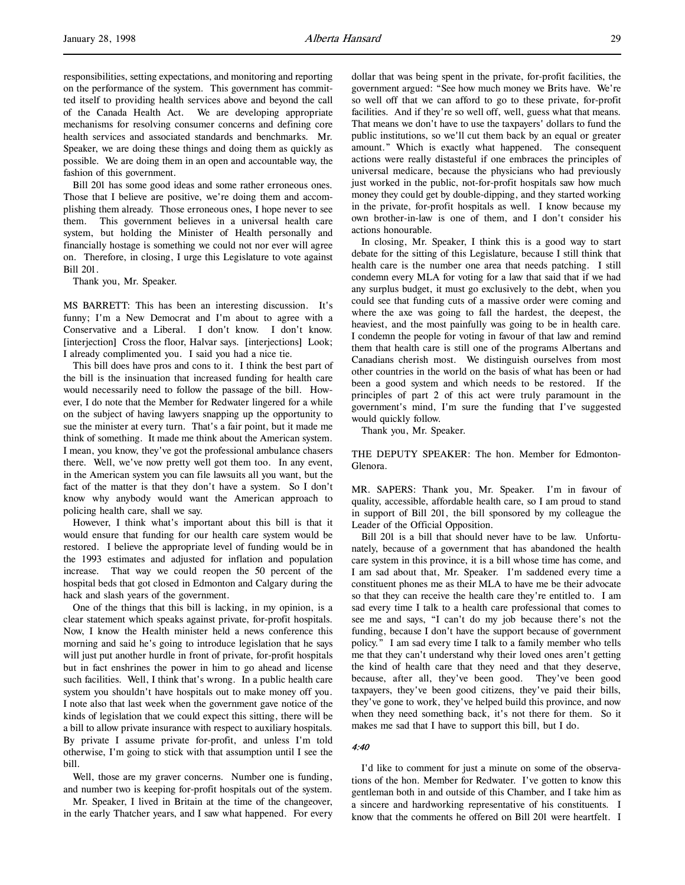responsibilities, setting expectations, and monitoring and reporting on the performance of the system. This government has committed itself to providing health services above and beyond the call of the Canada Health Act. We are developing appropriate mechanisms for resolving consumer concerns and defining core health services and associated standards and benchmarks. Mr. Speaker, we are doing these things and doing them as quickly as possible. We are doing them in an open and accountable way, the fashion of this government.

Bill 201 has some good ideas and some rather erroneous ones. Those that I believe are positive, we're doing them and accomplishing them already. Those erroneous ones, I hope never to see them. This government believes in a universal health care system, but holding the Minister of Health personally and financially hostage is something we could not nor ever will agree on. Therefore, in closing, I urge this Legislature to vote against Bill 201.

Thank you, Mr. Speaker.

MS BARRETT: This has been an interesting discussion. It's funny; I'm a New Democrat and I'm about to agree with a Conservative and a Liberal. I don't know. I don't know. [interjection] Cross the floor, Halvar says. [interjections] Look; I already complimented you. I said you had a nice tie.

This bill does have pros and cons to it. I think the best part of the bill is the insinuation that increased funding for health care would necessarily need to follow the passage of the bill. However, I do note that the Member for Redwater lingered for a while on the subject of having lawyers snapping up the opportunity to sue the minister at every turn. That's a fair point, but it made me think of something. It made me think about the American system. I mean, you know, they've got the professional ambulance chasers there. Well, we've now pretty well got them too. In any event, in the American system you can file lawsuits all you want, but the fact of the matter is that they don't have a system. So I don't know why anybody would want the American approach to policing health care, shall we say.

However, I think what's important about this bill is that it would ensure that funding for our health care system would be restored. I believe the appropriate level of funding would be in the 1993 estimates and adjusted for inflation and population increase. That way we could reopen the 50 percent of the hospital beds that got closed in Edmonton and Calgary during the hack and slash years of the government.

One of the things that this bill is lacking, in my opinion, is a clear statement which speaks against private, for-profit hospitals. Now, I know the Health minister held a news conference this morning and said he's going to introduce legislation that he says will just put another hurdle in front of private, for-profit hospitals but in fact enshrines the power in him to go ahead and license such facilities. Well, I think that's wrong. In a public health care system you shouldn't have hospitals out to make money off you. I note also that last week when the government gave notice of the kinds of legislation that we could expect this sitting, there will be a bill to allow private insurance with respect to auxiliary hospitals. By private I assume private for-profit, and unless I'm told otherwise, I'm going to stick with that assumption until I see the bill.

Well, those are my graver concerns. Number one is funding, and number two is keeping for-profit hospitals out of the system.

Mr. Speaker, I lived in Britain at the time of the changeover, in the early Thatcher years, and I saw what happened. For every dollar that was being spent in the private, for-profit facilities, the government argued: "See how much money we Brits have. We're so well off that we can afford to go to these private, for-profit facilities. And if they're so well off, well, guess what that means. That means we don't have to use the taxpayers' dollars to fund the public institutions, so we'll cut them back by an equal or greater amount." Which is exactly what happened. The consequent actions were really distasteful if one embraces the principles of universal medicare, because the physicians who had previously just worked in the public, not-for-profit hospitals saw how much money they could get by double-dipping, and they started working in the private, for-profit hospitals as well. I know because my own brother-in-law is one of them, and I don't consider his actions honourable.

In closing, Mr. Speaker, I think this is a good way to start debate for the sitting of this Legislature, because I still think that health care is the number one area that needs patching. I still condemn every MLA for voting for a law that said that if we had any surplus budget, it must go exclusively to the debt, when you could see that funding cuts of a massive order were coming and where the axe was going to fall the hardest, the deepest, the heaviest, and the most painfully was going to be in health care. I condemn the people for voting in favour of that law and remind them that health care is still one of the programs Albertans and Canadians cherish most. We distinguish ourselves from most other countries in the world on the basis of what has been or had been a good system and which needs to be restored. If the principles of part 2 of this act were truly paramount in the government's mind, I'm sure the funding that I've suggested would quickly follow.

Thank you, Mr. Speaker.

THE DEPUTY SPEAKER: The hon. Member for Edmonton-Glenora.

MR. SAPERS: Thank you, Mr. Speaker. I'm in favour of quality, accessible, affordable health care, so I am proud to stand in support of Bill 201, the bill sponsored by my colleague the Leader of the Official Opposition.

Bill 201 is a bill that should never have to be law. Unfortunately, because of a government that has abandoned the health care system in this province, it is a bill whose time has come, and I am sad about that, Mr. Speaker. I'm saddened every time a constituent phones me as their MLA to have me be their advocate so that they can receive the health care they're entitled to. I am sad every time I talk to a health care professional that comes to see me and says, "I can't do my job because there's not the funding, because I don't have the support because of government policy." I am sad every time I talk to a family member who tells me that they can't understand why their loved ones aren't getting the kind of health care that they need and that they deserve, because, after all, they've been good. They've been good taxpayers, they've been good citizens, they've paid their bills, they've gone to work, they've helped build this province, and now when they need something back, it's not there for them. So it makes me sad that I have to support this bill, but I do.

#### 4:40

I'd like to comment for just a minute on some of the observations of the hon. Member for Redwater. I've gotten to know this gentleman both in and outside of this Chamber, and I take him as a sincere and hardworking representative of his constituents. I know that the comments he offered on Bill 201 were heartfelt. I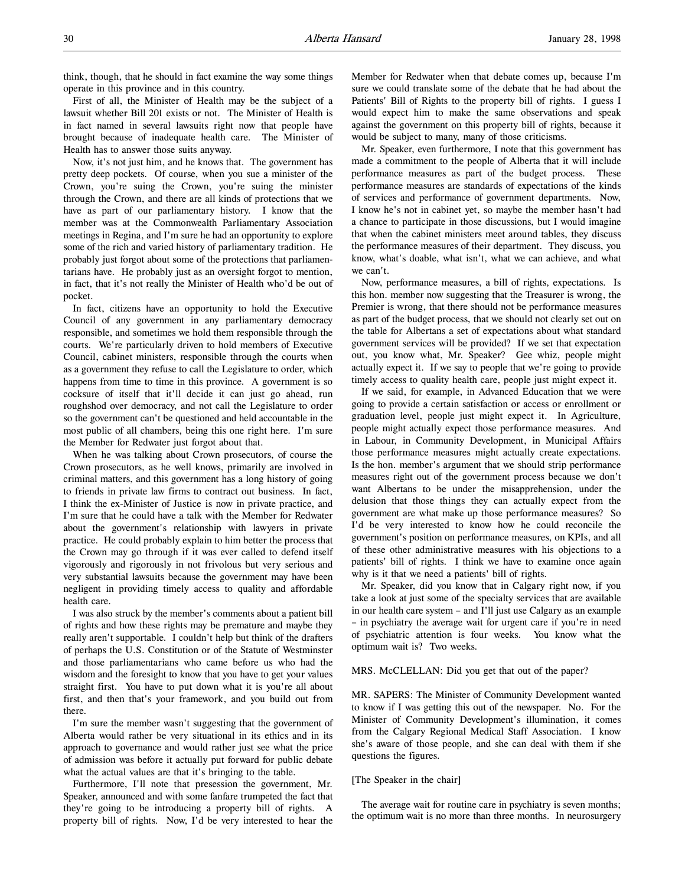think, though, that he should in fact examine the way some things operate in this province and in this country.

First of all, the Minister of Health may be the subject of a lawsuit whether Bill 201 exists or not. The Minister of Health is in fact named in several lawsuits right now that people have brought because of inadequate health care. The Minister of Health has to answer those suits anyway.

Now, it's not just him, and he knows that. The government has pretty deep pockets. Of course, when you sue a minister of the Crown, you're suing the Crown, you're suing the minister through the Crown, and there are all kinds of protections that we have as part of our parliamentary history. I know that the member was at the Commonwealth Parliamentary Association meetings in Regina, and I'm sure he had an opportunity to explore some of the rich and varied history of parliamentary tradition. He probably just forgot about some of the protections that parliamentarians have. He probably just as an oversight forgot to mention, in fact, that it's not really the Minister of Health who'd be out of pocket.

In fact, citizens have an opportunity to hold the Executive Council of any government in any parliamentary democracy responsible, and sometimes we hold them responsible through the courts. We're particularly driven to hold members of Executive Council, cabinet ministers, responsible through the courts when as a government they refuse to call the Legislature to order, which happens from time to time in this province. A government is so cocksure of itself that it'll decide it can just go ahead, run roughshod over democracy, and not call the Legislature to order so the government can't be questioned and held accountable in the most public of all chambers, being this one right here. I'm sure the Member for Redwater just forgot about that.

When he was talking about Crown prosecutors, of course the Crown prosecutors, as he well knows, primarily are involved in criminal matters, and this government has a long history of going to friends in private law firms to contract out business. In fact, I think the ex-Minister of Justice is now in private practice, and I'm sure that he could have a talk with the Member for Redwater about the government's relationship with lawyers in private practice. He could probably explain to him better the process that the Crown may go through if it was ever called to defend itself vigorously and rigorously in not frivolous but very serious and very substantial lawsuits because the government may have been negligent in providing timely access to quality and affordable health care.

I was also struck by the member's comments about a patient bill of rights and how these rights may be premature and maybe they really aren't supportable. I couldn't help but think of the drafters of perhaps the U.S. Constitution or of the Statute of Westminster and those parliamentarians who came before us who had the wisdom and the foresight to know that you have to get your values straight first. You have to put down what it is you're all about first, and then that's your framework, and you build out from there.

I'm sure the member wasn't suggesting that the government of Alberta would rather be very situational in its ethics and in its approach to governance and would rather just see what the price of admission was before it actually put forward for public debate what the actual values are that it's bringing to the table.

Furthermore, I'll note that presession the government, Mr. Speaker, announced and with some fanfare trumpeted the fact that they're going to be introducing a property bill of rights. A property bill of rights. Now, I'd be very interested to hear the

Member for Redwater when that debate comes up, because I'm sure we could translate some of the debate that he had about the Patients' Bill of Rights to the property bill of rights. I guess I would expect him to make the same observations and speak against the government on this property bill of rights, because it would be subject to many, many of those criticisms.

Mr. Speaker, even furthermore, I note that this government has made a commitment to the people of Alberta that it will include performance measures as part of the budget process. These performance measures are standards of expectations of the kinds of services and performance of government departments. Now, I know he's not in cabinet yet, so maybe the member hasn't had a chance to participate in those discussions, but I would imagine that when the cabinet ministers meet around tables, they discuss the performance measures of their department. They discuss, you know, what's doable, what isn't, what we can achieve, and what we can't.

Now, performance measures, a bill of rights, expectations. Is this hon. member now suggesting that the Treasurer is wrong, the Premier is wrong, that there should not be performance measures as part of the budget process, that we should not clearly set out on the table for Albertans a set of expectations about what standard government services will be provided? If we set that expectation out, you know what, Mr. Speaker? Gee whiz, people might actually expect it. If we say to people that we're going to provide timely access to quality health care, people just might expect it.

If we said, for example, in Advanced Education that we were going to provide a certain satisfaction or access or enrollment or graduation level, people just might expect it. In Agriculture, people might actually expect those performance measures. And in Labour, in Community Development, in Municipal Affairs those performance measures might actually create expectations. Is the hon. member's argument that we should strip performance measures right out of the government process because we don't want Albertans to be under the misapprehension, under the delusion that those things they can actually expect from the government are what make up those performance measures? So I'd be very interested to know how he could reconcile the government's position on performance measures, on KPIs, and all of these other administrative measures with his objections to a patients' bill of rights. I think we have to examine once again why is it that we need a patients' bill of rights.

Mr. Speaker, did you know that in Calgary right now, if you take a look at just some of the specialty services that are available in our health care system – and I'll just use Calgary as an example – in psychiatry the average wait for urgent care if you're in need of psychiatric attention is four weeks. You know what the optimum wait is? Two weeks.

### MRS. McCLELLAN: Did you get that out of the paper?

MR. SAPERS: The Minister of Community Development wanted to know if I was getting this out of the newspaper. No. For the Minister of Community Development's illumination, it comes from the Calgary Regional Medical Staff Association. I know she's aware of those people, and she can deal with them if she questions the figures.

### [The Speaker in the chair]

The average wait for routine care in psychiatry is seven months; the optimum wait is no more than three months. In neurosurgery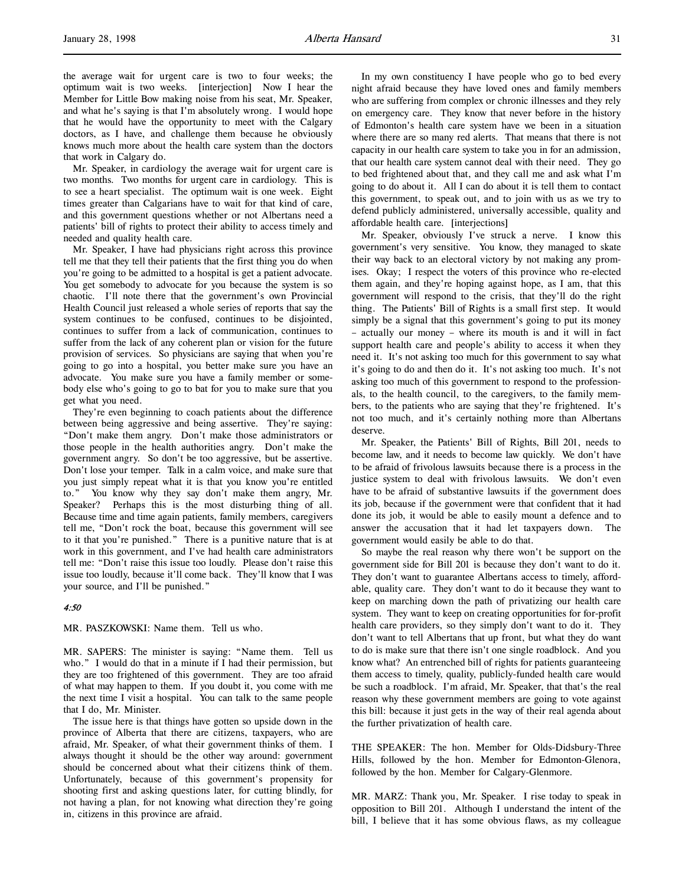the average wait for urgent care is two to four weeks; the optimum wait is two weeks. [interjection] Now I hear the Member for Little Bow making noise from his seat, Mr. Speaker, and what he's saying is that I'm absolutely wrong. I would hope that he would have the opportunity to meet with the Calgary doctors, as I have, and challenge them because he obviously knows much more about the health care system than the doctors that work in Calgary do.

Mr. Speaker, in cardiology the average wait for urgent care is two months. Two months for urgent care in cardiology. This is to see a heart specialist. The optimum wait is one week. Eight times greater than Calgarians have to wait for that kind of care, and this government questions whether or not Albertans need a patients' bill of rights to protect their ability to access timely and needed and quality health care.

Mr. Speaker, I have had physicians right across this province tell me that they tell their patients that the first thing you do when you're going to be admitted to a hospital is get a patient advocate. You get somebody to advocate for you because the system is so chaotic. I'll note there that the government's own Provincial Health Council just released a whole series of reports that say the system continues to be confused, continues to be disjointed, continues to suffer from a lack of communication, continues to suffer from the lack of any coherent plan or vision for the future provision of services. So physicians are saying that when you're going to go into a hospital, you better make sure you have an advocate. You make sure you have a family member or somebody else who's going to go to bat for you to make sure that you get what you need.

They're even beginning to coach patients about the difference between being aggressive and being assertive. They're saying: "Don't make them angry. Don't make those administrators or those people in the health authorities angry. Don't make the government angry. So don't be too aggressive, but be assertive. Don't lose your temper. Talk in a calm voice, and make sure that you just simply repeat what it is that you know you're entitled to." You know why they say don't make them angry, Mr. Speaker? Perhaps this is the most disturbing thing of all. Because time and time again patients, family members, caregivers tell me, "Don't rock the boat, because this government will see to it that you're punished." There is a punitive nature that is at work in this government, and I've had health care administrators tell me: "Don't raise this issue too loudly. Please don't raise this issue too loudly, because it'll come back. They'll know that I was your source, and I'll be punished."

# 4:50

MR. PASZKOWSKI: Name them. Tell us who.

MR. SAPERS: The minister is saying: "Name them. Tell us who." I would do that in a minute if I had their permission, but they are too frightened of this government. They are too afraid of what may happen to them. If you doubt it, you come with me the next time I visit a hospital. You can talk to the same people that I do, Mr. Minister.

The issue here is that things have gotten so upside down in the province of Alberta that there are citizens, taxpayers, who are afraid, Mr. Speaker, of what their government thinks of them. I always thought it should be the other way around: government should be concerned about what their citizens think of them. Unfortunately, because of this government's propensity for shooting first and asking questions later, for cutting blindly, for not having a plan, for not knowing what direction they're going in, citizens in this province are afraid.

In my own constituency I have people who go to bed every night afraid because they have loved ones and family members who are suffering from complex or chronic illnesses and they rely on emergency care. They know that never before in the history of Edmonton's health care system have we been in a situation where there are so many red alerts. That means that there is not capacity in our health care system to take you in for an admission, that our health care system cannot deal with their need. They go to bed frightened about that, and they call me and ask what I'm going to do about it. All I can do about it is tell them to contact this government, to speak out, and to join with us as we try to defend publicly administered, universally accessible, quality and affordable health care. [interjections]

Mr. Speaker, obviously I've struck a nerve. I know this government's very sensitive. You know, they managed to skate their way back to an electoral victory by not making any promises. Okay; I respect the voters of this province who re-elected them again, and they're hoping against hope, as I am, that this government will respond to the crisis, that they'll do the right thing. The Patients' Bill of Rights is a small first step. It would simply be a signal that this government's going to put its money – actually our money – where its mouth is and it will in fact support health care and people's ability to access it when they need it. It's not asking too much for this government to say what it's going to do and then do it. It's not asking too much. It's not asking too much of this government to respond to the professionals, to the health council, to the caregivers, to the family members, to the patients who are saying that they're frightened. It's not too much, and it's certainly nothing more than Albertans deserve.

Mr. Speaker, the Patients' Bill of Rights, Bill 201, needs to become law, and it needs to become law quickly. We don't have to be afraid of frivolous lawsuits because there is a process in the justice system to deal with frivolous lawsuits. We don't even have to be afraid of substantive lawsuits if the government does its job, because if the government were that confident that it had done its job, it would be able to easily mount a defence and to answer the accusation that it had let taxpayers down. The government would easily be able to do that.

So maybe the real reason why there won't be support on the government side for Bill 201 is because they don't want to do it. They don't want to guarantee Albertans access to timely, affordable, quality care. They don't want to do it because they want to keep on marching down the path of privatizing our health care system. They want to keep on creating opportunities for for-profit health care providers, so they simply don't want to do it. They don't want to tell Albertans that up front, but what they do want to do is make sure that there isn't one single roadblock. And you know what? An entrenched bill of rights for patients guaranteeing them access to timely, quality, publicly-funded health care would be such a roadblock. I'm afraid, Mr. Speaker, that that's the real reason why these government members are going to vote against this bill: because it just gets in the way of their real agenda about the further privatization of health care.

THE SPEAKER: The hon. Member for Olds-Didsbury-Three Hills, followed by the hon. Member for Edmonton-Glenora, followed by the hon. Member for Calgary-Glenmore.

MR. MARZ: Thank you, Mr. Speaker. I rise today to speak in opposition to Bill 201. Although I understand the intent of the bill, I believe that it has some obvious flaws, as my colleague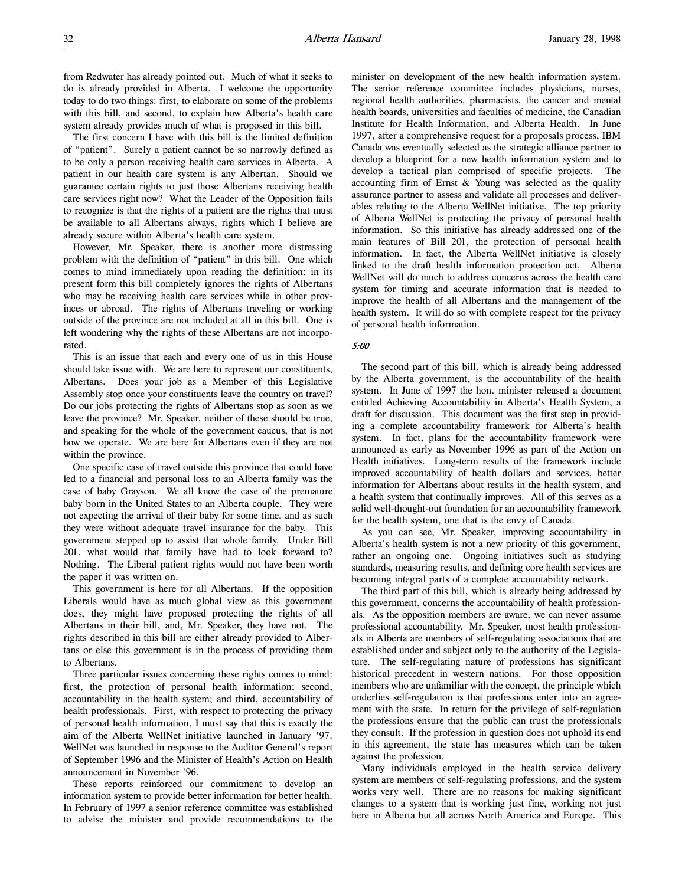The first concern I have with this bill is the limited definition of "patient". Surely a patient cannot be so narrowly defined as to be only a person receiving health care services in Alberta. A patient in our health care system is any Albertan. Should we guarantee certain rights to just those Albertans receiving health care services right now? What the Leader of the Opposition fails to recognize is that the rights of a patient are the rights that must be available to all Albertans always, rights which I believe are already secure within Alberta's health care system.

However, Mr. Speaker, there is another more distressing problem with the definition of "patient" in this bill. One which comes to mind immediately upon reading the definition: in its present form this bill completely ignores the rights of Albertans who may be receiving health care services while in other provinces or abroad. The rights of Albertans traveling or working outside of the province are not included at all in this bill. One is left wondering why the rights of these Albertans are not incorporated.

This is an issue that each and every one of us in this House should take issue with. We are here to represent our constituents, Albertans. Does your job as a Member of this Legislative Assembly stop once your constituents leave the country on travel? Do our jobs protecting the rights of Albertans stop as soon as we leave the province? Mr. Speaker, neither of these should be true, and speaking for the whole of the government caucus, that is not how we operate. We are here for Albertans even if they are not within the province.

One specific case of travel outside this province that could have led to a financial and personal loss to an Alberta family was the case of baby Grayson. We all know the case of the premature baby born in the United States to an Alberta couple. They were not expecting the arrival of their baby for some time, and as such they were without adequate travel insurance for the baby. This government stepped up to assist that whole family. Under Bill 201, what would that family have had to look forward to? Nothing. The Liberal patient rights would not have been worth the paper it was written on.

This government is here for all Albertans. If the opposition Liberals would have as much global view as this government does, they might have proposed protecting the rights of all Albertans in their bill, and, Mr. Speaker, they have not. The rights described in this bill are either already provided to Albertans or else this government is in the process of providing them to Albertans.

Three particular issues concerning these rights comes to mind: first, the protection of personal health information; second, accountability in the health system; and third, accountability of health professionals. First, with respect to protecting the privacy of personal health information, I must say that this is exactly the aim of the Alberta WellNet initiative launched in January '97. WellNet was launched in response to the Auditor General's report of September 1996 and the Minister of Health's Action on Health announcement in November '96.

These reports reinforced our commitment to develop an information system to provide better information for better health. In February of 1997 a senior reference committee was established to advise the minister and provide recommendations to the

minister on development of the new health information system. The senior reference committee includes physicians, nurses, regional health authorities, pharmacists, the cancer and mental health boards, universities and faculties of medicine, the Canadian Institute for Health Information, and Alberta Health. In June 1997, after a comprehensive request for a proposals process, IBM Canada was eventually selected as the strategic alliance partner to develop a blueprint for a new health information system and to develop a tactical plan comprised of specific projects. The accounting firm of Ernst & Young was selected as the quality assurance partner to assess and validate all processes and deliverables relating to the Alberta WellNet initiative. The top priority of Alberta WellNet is protecting the privacy of personal health information. So this initiative has already addressed one of the main features of Bill 201, the protection of personal health information. In fact, the Alberta WellNet initiative is closely linked to the draft health information protection act. Alberta WellNet will do much to address concerns across the health care system for timing and accurate information that is needed to improve the health of all Albertans and the management of the health system. It will do so with complete respect for the privacy of personal health information.

### 5:00

The second part of this bill, which is already being addressed by the Alberta government, is the accountability of the health system. In June of 1997 the hon. minister released a document entitled Achieving Accountability in Alberta's Health System, a draft for discussion. This document was the first step in providing a complete accountability framework for Alberta's health system. In fact, plans for the accountability framework were announced as early as November 1996 as part of the Action on Health initiatives. Long-term results of the framework include improved accountability of health dollars and services, better information for Albertans about results in the health system, and a health system that continually improves. All of this serves as a solid well-thought-out foundation for an accountability framework for the health system, one that is the envy of Canada.

As you can see, Mr. Speaker, improving accountability in Alberta's health system is not a new priority of this government, rather an ongoing one. Ongoing initiatives such as studying standards, measuring results, and defining core health services are becoming integral parts of a complete accountability network.

The third part of this bill, which is already being addressed by this government, concerns the accountability of health professionals. As the opposition members are aware, we can never assume professional accountability. Mr. Speaker, most health professionals in Alberta are members of self-regulating associations that are established under and subject only to the authority of the Legislature. The self-regulating nature of professions has significant historical precedent in western nations. For those opposition members who are unfamiliar with the concept, the principle which underlies self-regulation is that professions enter into an agreement with the state. In return for the privilege of self-regulation the professions ensure that the public can trust the professionals they consult. If the profession in question does not uphold its end in this agreement, the state has measures which can be taken against the profession.

Many individuals employed in the health service delivery system are members of self-regulating professions, and the system works very well. There are no reasons for making significant changes to a system that is working just fine, working not just here in Alberta but all across North America and Europe. This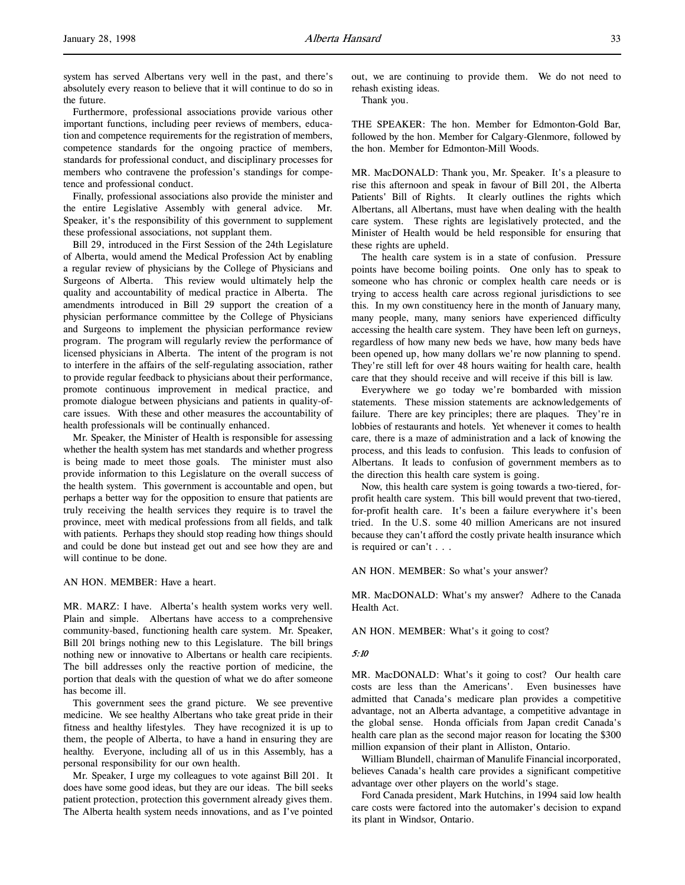system has served Albertans very well in the past, and there's absolutely every reason to believe that it will continue to do so in the future.

Furthermore, professional associations provide various other important functions, including peer reviews of members, education and competence requirements for the registration of members, competence standards for the ongoing practice of members, standards for professional conduct, and disciplinary processes for members who contravene the profession's standings for competence and professional conduct.

Finally, professional associations also provide the minister and the entire Legislative Assembly with general advice. Mr. Speaker, it's the responsibility of this government to supplement these professional associations, not supplant them.

Bill 29, introduced in the First Session of the 24th Legislature of Alberta, would amend the Medical Profession Act by enabling a regular review of physicians by the College of Physicians and Surgeons of Alberta. This review would ultimately help the quality and accountability of medical practice in Alberta. The amendments introduced in Bill 29 support the creation of a physician performance committee by the College of Physicians and Surgeons to implement the physician performance review program. The program will regularly review the performance of licensed physicians in Alberta. The intent of the program is not to interfere in the affairs of the self-regulating association, rather to provide regular feedback to physicians about their performance, promote continuous improvement in medical practice, and promote dialogue between physicians and patients in quality-ofcare issues. With these and other measures the accountability of health professionals will be continually enhanced.

Mr. Speaker, the Minister of Health is responsible for assessing whether the health system has met standards and whether progress is being made to meet those goals. The minister must also provide information to this Legislature on the overall success of the health system. This government is accountable and open, but perhaps a better way for the opposition to ensure that patients are truly receiving the health services they require is to travel the province, meet with medical professions from all fields, and talk with patients. Perhaps they should stop reading how things should and could be done but instead get out and see how they are and will continue to be done.

AN HON. MEMBER: Have a heart.

MR. MARZ: I have. Alberta's health system works very well. Plain and simple. Albertans have access to a comprehensive community-based, functioning health care system. Mr. Speaker, Bill 201 brings nothing new to this Legislature. The bill brings nothing new or innovative to Albertans or health care recipients. The bill addresses only the reactive portion of medicine, the portion that deals with the question of what we do after someone has become ill.

This government sees the grand picture. We see preventive medicine. We see healthy Albertans who take great pride in their fitness and healthy lifestyles. They have recognized it is up to them, the people of Alberta, to have a hand in ensuring they are healthy. Everyone, including all of us in this Assembly, has a personal responsibility for our own health.

Mr. Speaker, I urge my colleagues to vote against Bill 201. It does have some good ideas, but they are our ideas. The bill seeks patient protection, protection this government already gives them. The Alberta health system needs innovations, and as I've pointed out, we are continuing to provide them. We do not need to rehash existing ideas.

Thank you.

THE SPEAKER: The hon. Member for Edmonton-Gold Bar, followed by the hon. Member for Calgary-Glenmore, followed by the hon. Member for Edmonton-Mill Woods.

MR. MacDONALD: Thank you, Mr. Speaker. It's a pleasure to rise this afternoon and speak in favour of Bill 201, the Alberta Patients' Bill of Rights. It clearly outlines the rights which Albertans, all Albertans, must have when dealing with the health care system. These rights are legislatively protected, and the Minister of Health would be held responsible for ensuring that these rights are upheld.

The health care system is in a state of confusion. Pressure points have become boiling points. One only has to speak to someone who has chronic or complex health care needs or is trying to access health care across regional jurisdictions to see this. In my own constituency here in the month of January many, many people, many, many seniors have experienced difficulty accessing the health care system. They have been left on gurneys, regardless of how many new beds we have, how many beds have been opened up, how many dollars we're now planning to spend. They're still left for over 48 hours waiting for health care, health care that they should receive and will receive if this bill is law.

Everywhere we go today we're bombarded with mission statements. These mission statements are acknowledgements of failure. There are key principles; there are plaques. They're in lobbies of restaurants and hotels. Yet whenever it comes to health care, there is a maze of administration and a lack of knowing the process, and this leads to confusion. This leads to confusion of Albertans. It leads to confusion of government members as to the direction this health care system is going.

Now, this health care system is going towards a two-tiered, forprofit health care system. This bill would prevent that two-tiered, for-profit health care. It's been a failure everywhere it's been tried. In the U.S. some 40 million Americans are not insured because they can't afford the costly private health insurance which is required or can't . . .

AN HON. MEMBER: So what's your answer?

MR. MacDONALD: What's my answer? Adhere to the Canada Health Act.

AN HON. MEMBER: What's it going to cost?

# 5:10

MR. MacDONALD: What's it going to cost? Our health care costs are less than the Americans'. Even businesses have admitted that Canada's medicare plan provides a competitive advantage, not an Alberta advantage, a competitive advantage in the global sense. Honda officials from Japan credit Canada's health care plan as the second major reason for locating the \$300 million expansion of their plant in Alliston, Ontario.

William Blundell, chairman of Manulife Financial incorporated, believes Canada's health care provides a significant competitive advantage over other players on the world's stage.

Ford Canada president, Mark Hutchins, in 1994 said low health care costs were factored into the automaker's decision to expand its plant in Windsor, Ontario.